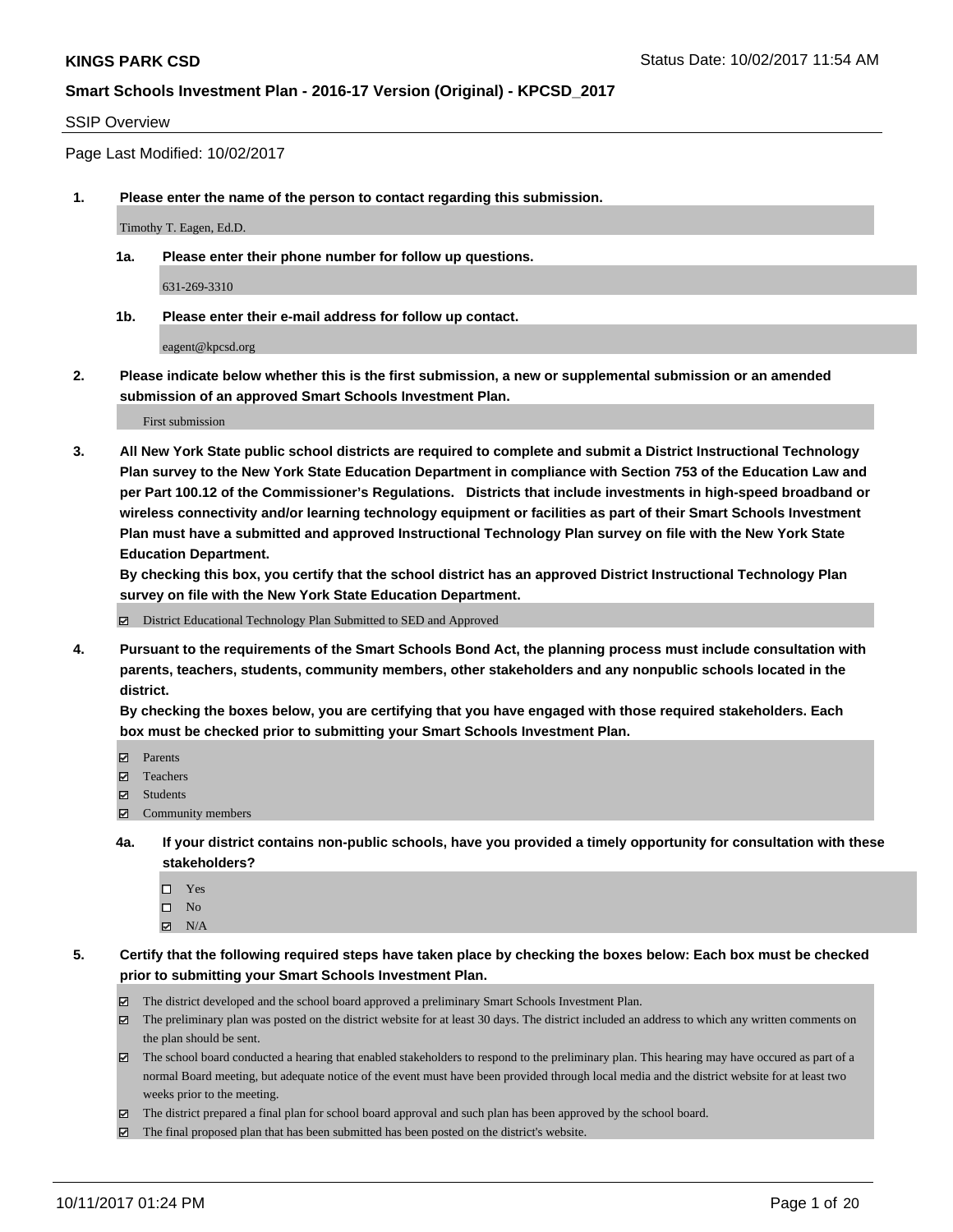#### SSIP Overview

Page Last Modified: 10/02/2017

**1. Please enter the name of the person to contact regarding this submission.**

Timothy T. Eagen, Ed.D.

**1a. Please enter their phone number for follow up questions.**

631-269-3310

**1b. Please enter their e-mail address for follow up contact.**

eagent@kpcsd.org

**2. Please indicate below whether this is the first submission, a new or supplemental submission or an amended submission of an approved Smart Schools Investment Plan.**

First submission

**3. All New York State public school districts are required to complete and submit a District Instructional Technology Plan survey to the New York State Education Department in compliance with Section 753 of the Education Law and per Part 100.12 of the Commissioner's Regulations. Districts that include investments in high-speed broadband or wireless connectivity and/or learning technology equipment or facilities as part of their Smart Schools Investment Plan must have a submitted and approved Instructional Technology Plan survey on file with the New York State Education Department.** 

**By checking this box, you certify that the school district has an approved District Instructional Technology Plan survey on file with the New York State Education Department.**

District Educational Technology Plan Submitted to SED and Approved

**4. Pursuant to the requirements of the Smart Schools Bond Act, the planning process must include consultation with parents, teachers, students, community members, other stakeholders and any nonpublic schools located in the district.** 

**By checking the boxes below, you are certifying that you have engaged with those required stakeholders. Each box must be checked prior to submitting your Smart Schools Investment Plan.**

- **マ** Parents
- Teachers
- **☑** Students
- $\Xi$  Community members
- **4a. If your district contains non-public schools, have you provided a timely opportunity for consultation with these stakeholders?**
	- □ Yes
	- $\square$  No
	- $\boxtimes$  N/A

**5. Certify that the following required steps have taken place by checking the boxes below: Each box must be checked prior to submitting your Smart Schools Investment Plan.**

- The district developed and the school board approved a preliminary Smart Schools Investment Plan.
- The preliminary plan was posted on the district website for at least 30 days. The district included an address to which any written comments on the plan should be sent.
- The school board conducted a hearing that enabled stakeholders to respond to the preliminary plan. This hearing may have occured as part of a normal Board meeting, but adequate notice of the event must have been provided through local media and the district website for at least two weeks prior to the meeting.
- The district prepared a final plan for school board approval and such plan has been approved by the school board.
- $\boxtimes$  The final proposed plan that has been submitted has been posted on the district's website.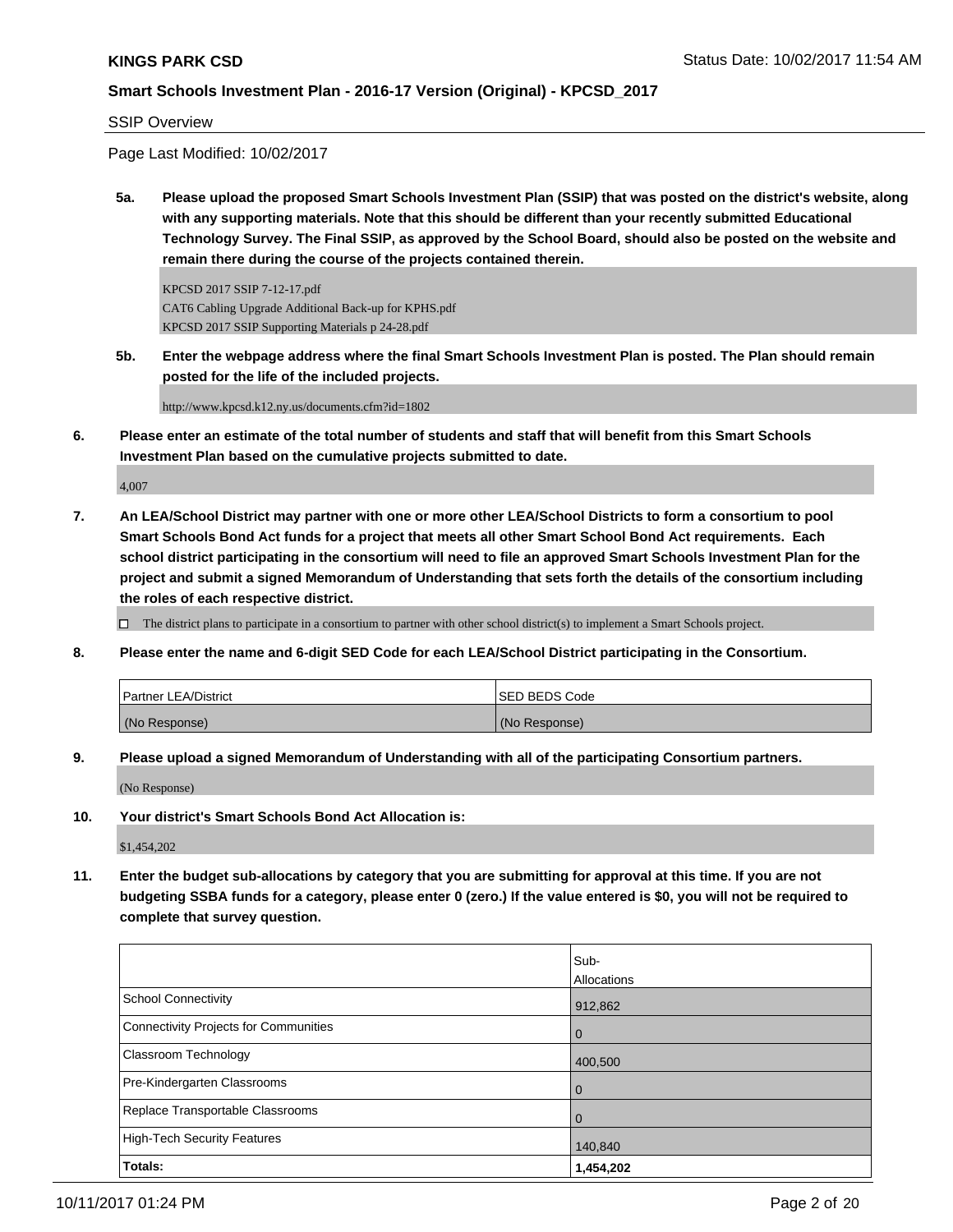#### SSIP Overview

Page Last Modified: 10/02/2017

**5a. Please upload the proposed Smart Schools Investment Plan (SSIP) that was posted on the district's website, along with any supporting materials. Note that this should be different than your recently submitted Educational Technology Survey. The Final SSIP, as approved by the School Board, should also be posted on the website and remain there during the course of the projects contained therein.**

KPCSD 2017 SSIP 7-12-17.pdf CAT6 Cabling Upgrade Additional Back-up for KPHS.pdf KPCSD 2017 SSIP Supporting Materials p 24-28.pdf

**5b. Enter the webpage address where the final Smart Schools Investment Plan is posted. The Plan should remain posted for the life of the included projects.**

http://www.kpcsd.k12.ny.us/documents.cfm?id=1802

**6. Please enter an estimate of the total number of students and staff that will benefit from this Smart Schools Investment Plan based on the cumulative projects submitted to date.**

4,007

**7. An LEA/School District may partner with one or more other LEA/School Districts to form a consortium to pool Smart Schools Bond Act funds for a project that meets all other Smart School Bond Act requirements. Each school district participating in the consortium will need to file an approved Smart Schools Investment Plan for the project and submit a signed Memorandum of Understanding that sets forth the details of the consortium including the roles of each respective district.**

 $\Box$  The district plans to participate in a consortium to partner with other school district(s) to implement a Smart Schools project.

**8. Please enter the name and 6-digit SED Code for each LEA/School District participating in the Consortium.**

| <b>Partner LEA/District</b> | ISED BEDS Code |
|-----------------------------|----------------|
| (No Response)               | (No Response)  |

**9. Please upload a signed Memorandum of Understanding with all of the participating Consortium partners.**

(No Response)

**10. Your district's Smart Schools Bond Act Allocation is:**

\$1,454,202

**11. Enter the budget sub-allocations by category that you are submitting for approval at this time. If you are not budgeting SSBA funds for a category, please enter 0 (zero.) If the value entered is \$0, you will not be required to complete that survey question.**

|                                              | Sub-        |
|----------------------------------------------|-------------|
|                                              | Allocations |
| <b>School Connectivity</b>                   | 912,862     |
| <b>Connectivity Projects for Communities</b> | 0           |
| Classroom Technology                         | 400,500     |
| Pre-Kindergarten Classrooms                  | $\Omega$    |
| Replace Transportable Classrooms             |             |
| <b>High-Tech Security Features</b>           | 140,840     |
| Totals:                                      | 1,454,202   |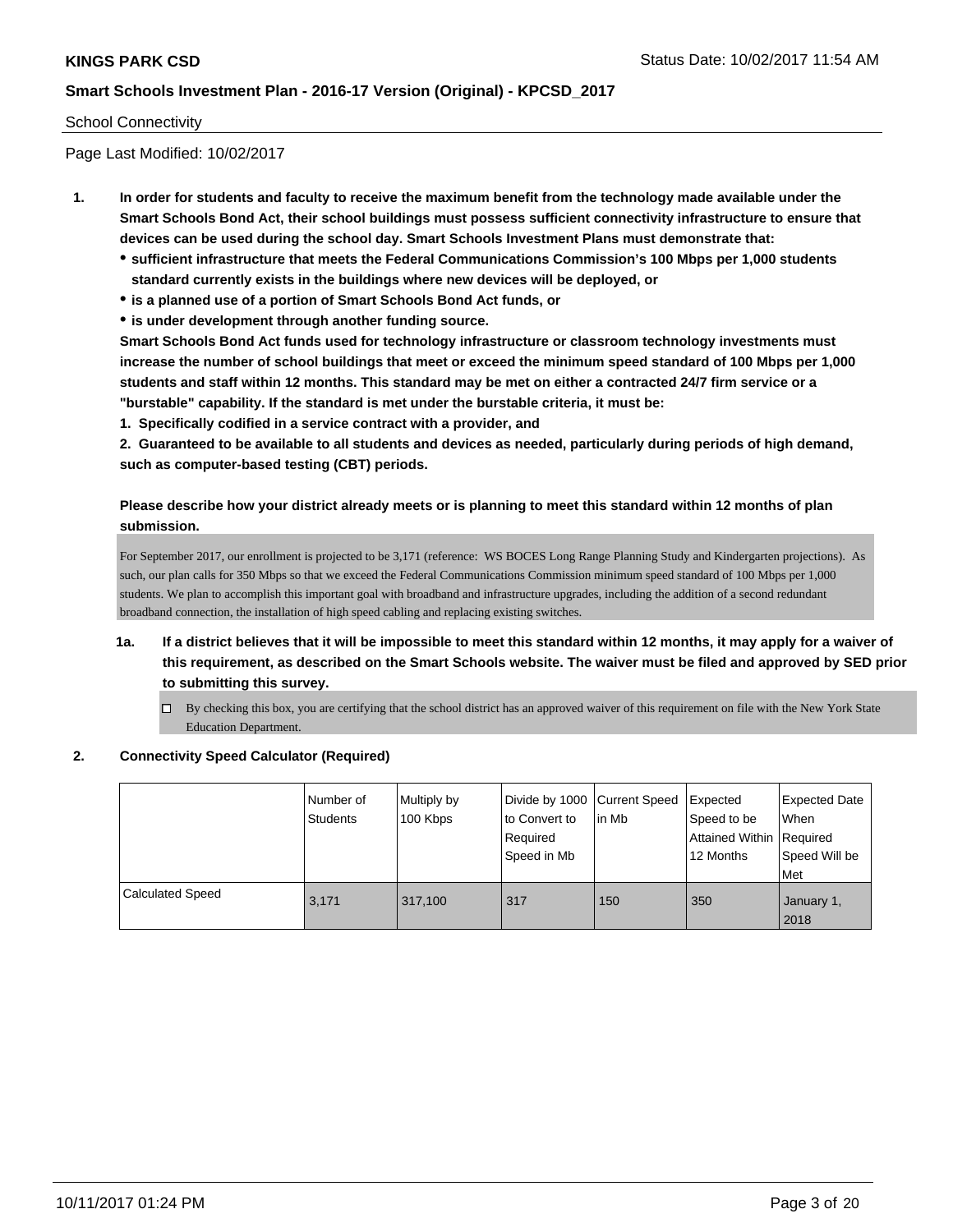#### School Connectivity

Page Last Modified: 10/02/2017

- **1. In order for students and faculty to receive the maximum benefit from the technology made available under the Smart Schools Bond Act, their school buildings must possess sufficient connectivity infrastructure to ensure that devices can be used during the school day. Smart Schools Investment Plans must demonstrate that:**
	- **sufficient infrastructure that meets the Federal Communications Commission's 100 Mbps per 1,000 students standard currently exists in the buildings where new devices will be deployed, or**
	- **is a planned use of a portion of Smart Schools Bond Act funds, or**
	- **is under development through another funding source.**

**Smart Schools Bond Act funds used for technology infrastructure or classroom technology investments must increase the number of school buildings that meet or exceed the minimum speed standard of 100 Mbps per 1,000 students and staff within 12 months. This standard may be met on either a contracted 24/7 firm service or a "burstable" capability. If the standard is met under the burstable criteria, it must be:**

**1. Specifically codified in a service contract with a provider, and**

**2. Guaranteed to be available to all students and devices as needed, particularly during periods of high demand, such as computer-based testing (CBT) periods.**

# **Please describe how your district already meets or is planning to meet this standard within 12 months of plan submission.**

For September 2017, our enrollment is projected to be 3,171 (reference: WS BOCES Long Range Planning Study and Kindergarten projections). As such, our plan calls for 350 Mbps so that we exceed the Federal Communications Commission minimum speed standard of 100 Mbps per 1,000 students. We plan to accomplish this important goal with broadband and infrastructure upgrades, including the addition of a second redundant broadband connection, the installation of high speed cabling and replacing existing switches.

- **1a. If a district believes that it will be impossible to meet this standard within 12 months, it may apply for a waiver of this requirement, as described on the Smart Schools website. The waiver must be filed and approved by SED prior to submitting this survey.**
	- By checking this box, you are certifying that the school district has an approved waiver of this requirement on file with the New York State Education Department.

#### **2. Connectivity Speed Calculator (Required)**

|                         | Number of<br><b>Students</b> | Multiply by<br>100 Kbps | Divide by 1000 Current Speed<br>to Convert to<br>Required<br>Speed in Mb | lin Mb | Expected<br>Speed to be<br>Attained Within Required<br>12 Months | <b>Expected Date</b><br>When<br>Speed Will be<br><b>Met</b> |
|-------------------------|------------------------------|-------------------------|--------------------------------------------------------------------------|--------|------------------------------------------------------------------|-------------------------------------------------------------|
| <b>Calculated Speed</b> | 3.171                        | 317.100                 | 317                                                                      | 150    | 350                                                              | January 1,<br>2018                                          |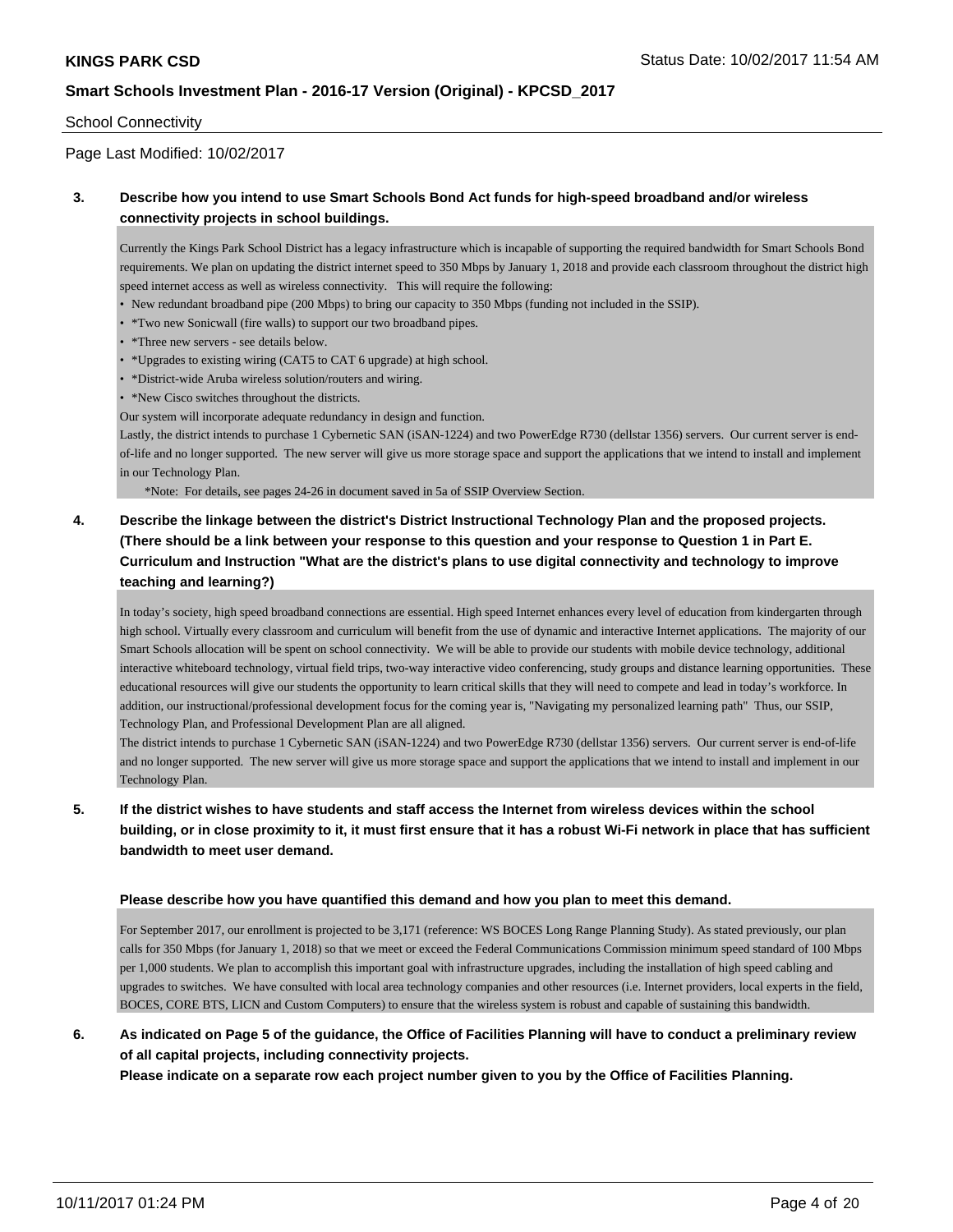#### School Connectivity

### Page Last Modified: 10/02/2017

### **3. Describe how you intend to use Smart Schools Bond Act funds for high-speed broadband and/or wireless connectivity projects in school buildings.**

Currently the Kings Park School District has a legacy infrastructure which is incapable of supporting the required bandwidth for Smart Schools Bond requirements. We plan on updating the district internet speed to 350 Mbps by January 1, 2018 and provide each classroom throughout the district high speed internet access as well as wireless connectivity. This will require the following:

- New redundant broadband pipe (200 Mbps) to bring our capacity to 350 Mbps (funding not included in the SSIP).
- \*Two new Sonicwall (fire walls) to support our two broadband pipes.
- \*Three new servers see details below.
- \*Upgrades to existing wiring (CAT5 to CAT 6 upgrade) at high school.
- \*District-wide Aruba wireless solution/routers and wiring.
- \*New Cisco switches throughout the districts.
- Our system will incorporate adequate redundancy in design and function.

Lastly, the district intends to purchase 1 Cybernetic SAN (iSAN-1224) and two PowerEdge R730 (dellstar 1356) servers. Our current server is endof-life and no longer supported. The new server will give us more storage space and support the applications that we intend to install and implement in our Technology Plan.

\*Note: For details, see pages 24-26 in document saved in 5a of SSIP Overview Section.

**4. Describe the linkage between the district's District Instructional Technology Plan and the proposed projects. (There should be a link between your response to this question and your response to Question 1 in Part E. Curriculum and Instruction "What are the district's plans to use digital connectivity and technology to improve teaching and learning?)**

In today's society, high speed broadband connections are essential. High speed Internet enhances every level of education from kindergarten through high school. Virtually every classroom and curriculum will benefit from the use of dynamic and interactive Internet applications. The majority of our Smart Schools allocation will be spent on school connectivity. We will be able to provide our students with mobile device technology, additional interactive whiteboard technology, virtual field trips, two-way interactive video conferencing, study groups and distance learning opportunities. These educational resources will give our students the opportunity to learn critical skills that they will need to compete and lead in today's workforce. In addition, our instructional/professional development focus for the coming year is, "Navigating my personalized learning path" Thus, our SSIP, Technology Plan, and Professional Development Plan are all aligned.

The district intends to purchase 1 Cybernetic SAN (iSAN-1224) and two PowerEdge R730 (dellstar 1356) servers. Our current server is end-of-life and no longer supported. The new server will give us more storage space and support the applications that we intend to install and implement in our Technology Plan.

# **5. If the district wishes to have students and staff access the Internet from wireless devices within the school building, or in close proximity to it, it must first ensure that it has a robust Wi-Fi network in place that has sufficient bandwidth to meet user demand.**

#### **Please describe how you have quantified this demand and how you plan to meet this demand.**

For September 2017, our enrollment is projected to be 3,171 (reference: WS BOCES Long Range Planning Study). As stated previously, our plan calls for 350 Mbps (for January 1, 2018) so that we meet or exceed the Federal Communications Commission minimum speed standard of 100 Mbps per 1,000 students. We plan to accomplish this important goal with infrastructure upgrades, including the installation of high speed cabling and upgrades to switches. We have consulted with local area technology companies and other resources (i.e. Internet providers, local experts in the field, BOCES, CORE BTS, LICN and Custom Computers) to ensure that the wireless system is robust and capable of sustaining this bandwidth.

# **6. As indicated on Page 5 of the guidance, the Office of Facilities Planning will have to conduct a preliminary review of all capital projects, including connectivity projects.**

**Please indicate on a separate row each project number given to you by the Office of Facilities Planning.**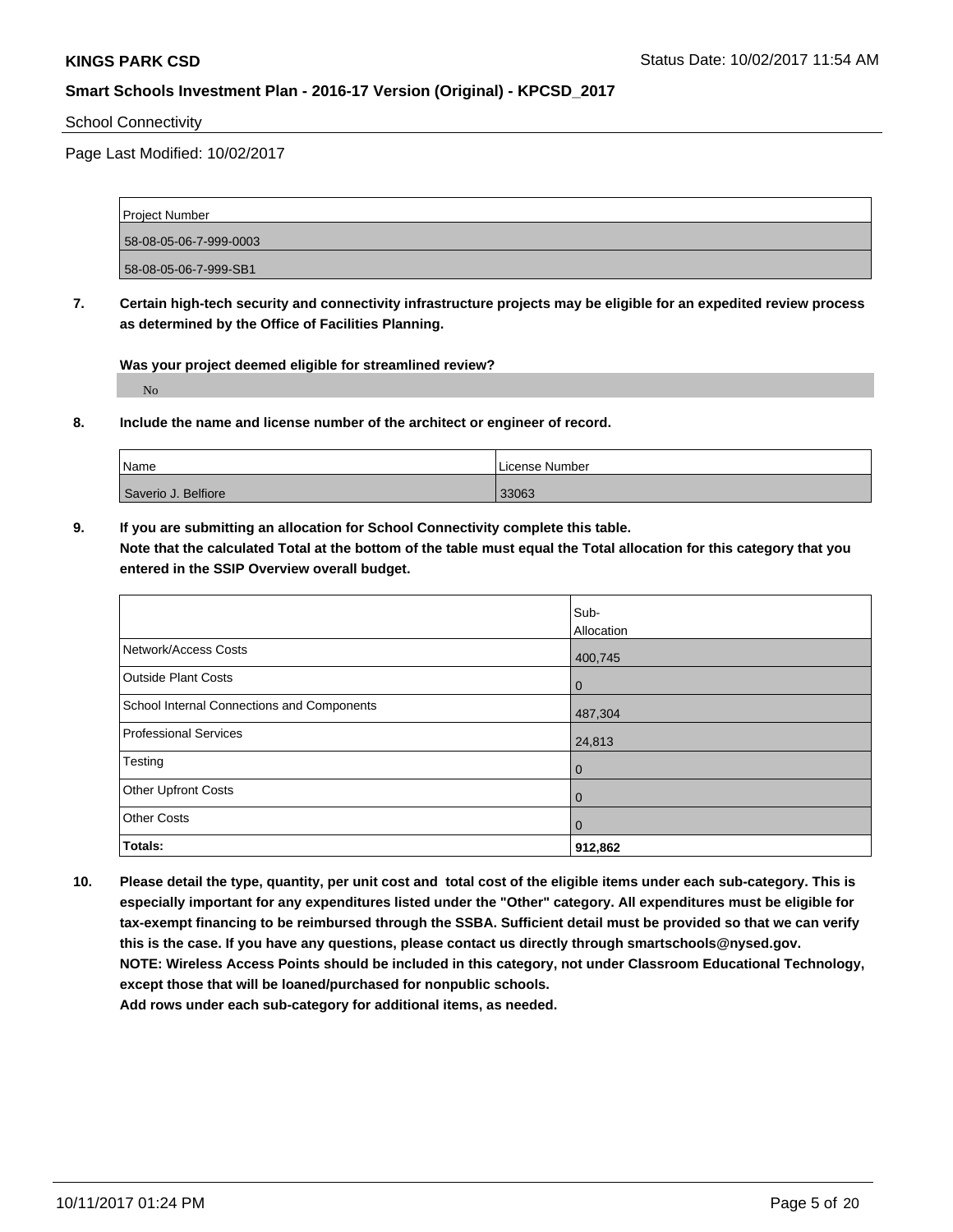#### School Connectivity

Page Last Modified: 10/02/2017

| Project Number         |
|------------------------|
| 58-08-05-06-7-999-0003 |
| 58-08-05-06-7-999-SB1  |

**7. Certain high-tech security and connectivity infrastructure projects may be eligible for an expedited review process as determined by the Office of Facilities Planning.**

**Was your project deemed eligible for streamlined review?** No

**8. Include the name and license number of the architect or engineer of record.**

| Name                | License Number |
|---------------------|----------------|
| Saverio J. Belfiore | 33063          |

**9. If you are submitting an allocation for School Connectivity complete this table. Note that the calculated Total at the bottom of the table must equal the Total allocation for this category that you entered in the SSIP Overview overall budget.** 

|                                            | Sub-           |
|--------------------------------------------|----------------|
|                                            | Allocation     |
| Network/Access Costs                       | 400,745        |
| <b>Outside Plant Costs</b>                 | $\mathbf 0$    |
| School Internal Connections and Components | 487,304        |
| Professional Services                      | 24,813         |
| Testing                                    | $\overline{0}$ |
| <b>Other Upfront Costs</b>                 | $\overline{0}$ |
| <b>Other Costs</b>                         | $\overline{0}$ |
| Totals:                                    | 912,862        |

**10. Please detail the type, quantity, per unit cost and total cost of the eligible items under each sub-category. This is especially important for any expenditures listed under the "Other" category. All expenditures must be eligible for tax-exempt financing to be reimbursed through the SSBA. Sufficient detail must be provided so that we can verify this is the case. If you have any questions, please contact us directly through smartschools@nysed.gov. NOTE: Wireless Access Points should be included in this category, not under Classroom Educational Technology, except those that will be loaned/purchased for nonpublic schools. Add rows under each sub-category for additional items, as needed.**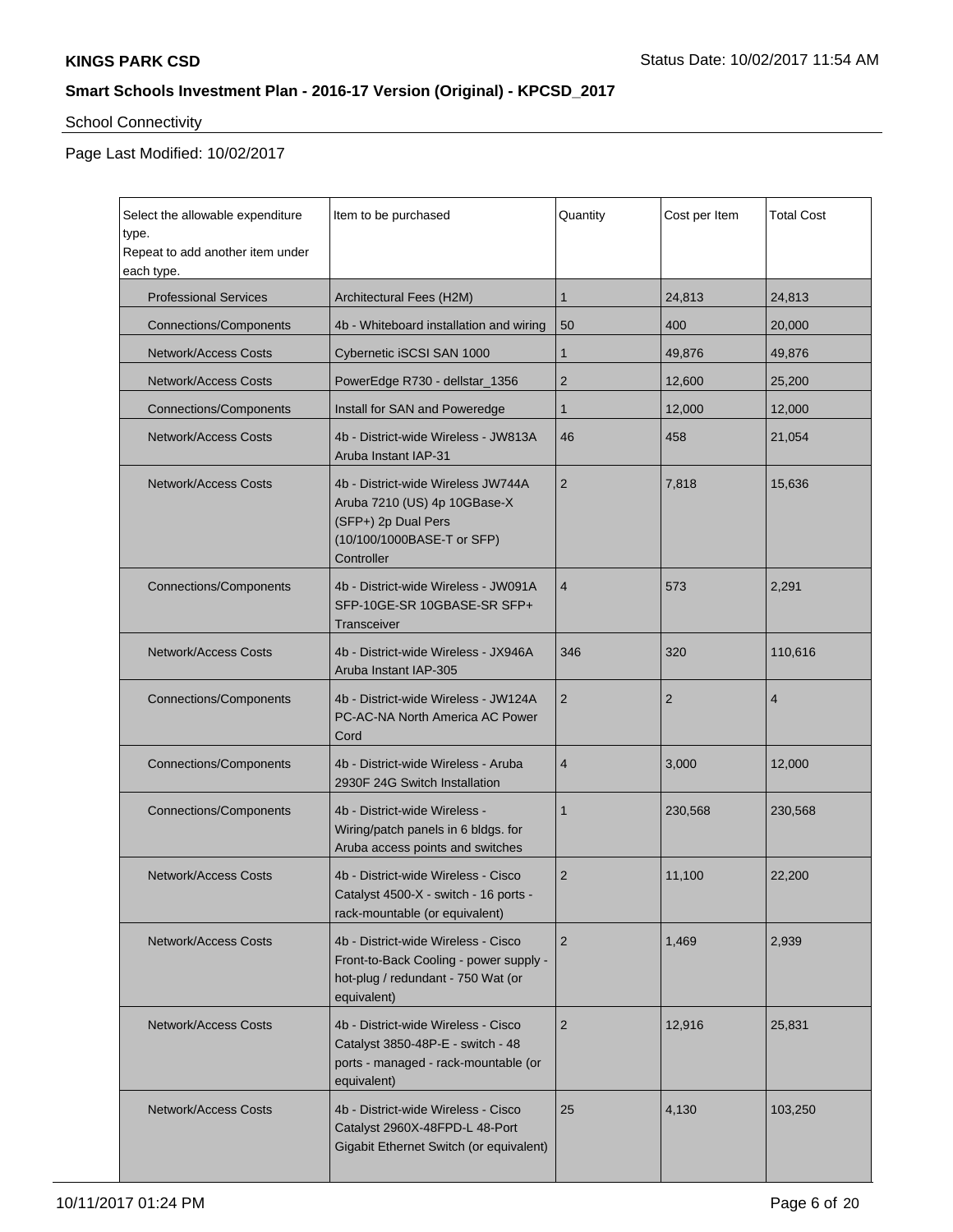# School Connectivity

| Select the allowable expenditure<br>type.<br>Repeat to add another item under<br>each type. | Item to be purchased                                                                                                                  | Quantity       | Cost per Item  | <b>Total Cost</b> |
|---------------------------------------------------------------------------------------------|---------------------------------------------------------------------------------------------------------------------------------------|----------------|----------------|-------------------|
| <b>Professional Services</b>                                                                | Architectural Fees (H2M)                                                                                                              | 1              | 24,813         | 24,813            |
| <b>Connections/Components</b>                                                               | 4b - Whiteboard installation and wiring                                                                                               | 50             | 400            | 20,000            |
| <b>Network/Access Costs</b>                                                                 | Cybernetic iSCSI SAN 1000                                                                                                             | 1              | 49,876         | 49,876            |
| <b>Network/Access Costs</b>                                                                 | PowerEdge R730 - dellstar_1356                                                                                                        | 2              | 12,600         | 25,200            |
| <b>Connections/Components</b>                                                               | Install for SAN and Poweredge                                                                                                         | 1              | 12,000         | 12,000            |
| <b>Network/Access Costs</b>                                                                 | 4b - District-wide Wireless - JW813A<br>Aruba Instant IAP-31                                                                          | 46             | 458            | 21,054            |
| <b>Network/Access Costs</b>                                                                 | 4b - District-wide Wireless JW744A<br>Aruba 7210 (US) 4p 10GBase-X<br>(SFP+) 2p Dual Pers<br>(10/100/1000BASE-T or SFP)<br>Controller | $\overline{2}$ | 7,818          | 15,636            |
| <b>Connections/Components</b>                                                               | 4b - District-wide Wireless - JW091A<br>SFP-10GE-SR 10GBASE-SR SFP+<br>Transceiver                                                    | $\overline{4}$ | 573            | 2,291             |
| <b>Network/Access Costs</b>                                                                 | 4b - District-wide Wireless - JX946A<br>Aruba Instant IAP-305                                                                         | 346            | 320            | 110,616           |
| <b>Connections/Components</b>                                                               | 4b - District-wide Wireless - JW124A<br>PC-AC-NA North America AC Power<br>Cord                                                       | $\overline{2}$ | $\overline{2}$ | $\overline{4}$    |
| <b>Connections/Components</b>                                                               | 4b - District-wide Wireless - Aruba<br>2930F 24G Switch Installation                                                                  | 4              | 3,000          | 12,000            |
| <b>Connections/Components</b>                                                               | 4b - District-wide Wireless -<br>Wiring/patch panels in 6 bldgs. for<br>Aruba access points and switches                              | $\mathbf{1}$   | 230,568        | 230,568           |
| <b>Network/Access Costs</b>                                                                 | 4b - District-wide Wireless - Cisco<br>Catalyst 4500-X - switch - 16 ports -<br>rack-mountable (or equivalent)                        |                | 11,100         | 22,200            |
| <b>Network/Access Costs</b>                                                                 | 4b - District-wide Wireless - Cisco<br>Front-to-Back Cooling - power supply -<br>hot-plug / redundant - 750 Wat (or<br>equivalent)    | 2              | 1,469          | 2,939             |
| <b>Network/Access Costs</b>                                                                 | 4b - District-wide Wireless - Cisco<br>Catalyst 3850-48P-E - switch - 48<br>ports - managed - rack-mountable (or<br>equivalent)       | 2              | 12,916         | 25,831            |
| <b>Network/Access Costs</b>                                                                 | 4b - District-wide Wireless - Cisco<br>Catalyst 2960X-48FPD-L 48-Port<br>Gigabit Ethernet Switch (or equivalent)                      | 25             | 4,130          | 103,250           |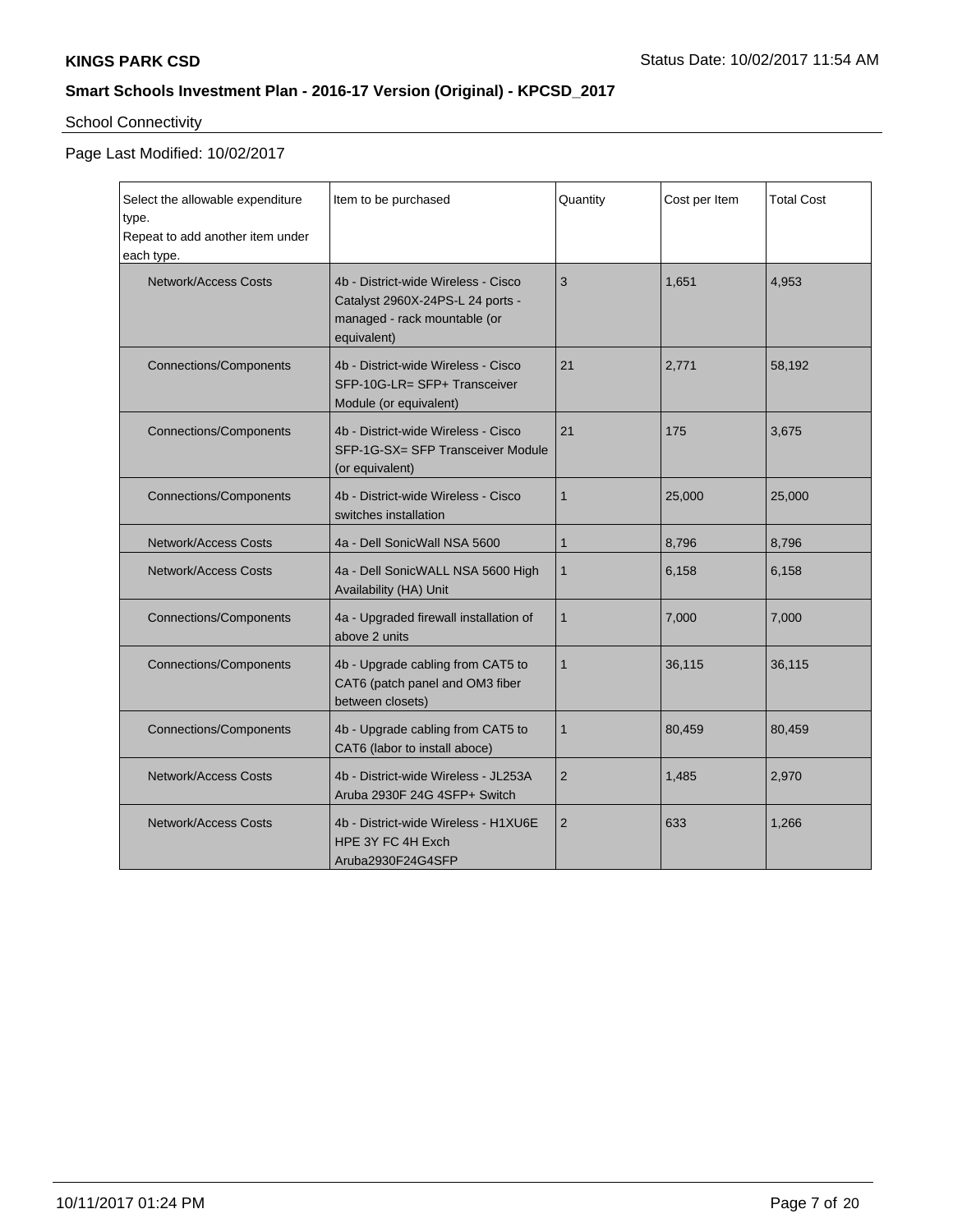# School Connectivity

| Select the allowable expenditure<br>type.<br>Repeat to add another item under<br>each type. | Item to be purchased                                                                                                   | Quantity       | Cost per Item | <b>Total Cost</b> |
|---------------------------------------------------------------------------------------------|------------------------------------------------------------------------------------------------------------------------|----------------|---------------|-------------------|
| Network/Access Costs                                                                        | 4b - District-wide Wireless - Cisco<br>Catalyst 2960X-24PS-L 24 ports -<br>managed - rack mountable (or<br>equivalent) | 3              | 1.651         | 4,953             |
| <b>Connections/Components</b>                                                               | 4b - District-wide Wireless - Cisco<br>SFP-10G-LR= SFP+ Transceiver<br>Module (or equivalent)                          | 21             | 2,771         | 58,192            |
| <b>Connections/Components</b>                                                               | 4b - District-wide Wireless - Cisco<br>SFP-1G-SX= SFP Transceiver Module<br>(or equivalent)                            | 21             | 175           | 3,675             |
| <b>Connections/Components</b>                                                               | 4b - District-wide Wireless - Cisco<br>switches installation                                                           | $\mathbf{1}$   | 25,000        | 25,000            |
| Network/Access Costs                                                                        | 4a - Dell SonicWall NSA 5600                                                                                           | 1              | 8,796         | 8,796             |
| <b>Network/Access Costs</b>                                                                 | 4a - Dell SonicWALL NSA 5600 High<br>Availability (HA) Unit                                                            | $\mathbf{1}$   | 6,158         | 6,158             |
| <b>Connections/Components</b>                                                               | 4a - Upgraded firewall installation of<br>above 2 units                                                                | 1              | 7,000         | 7,000             |
| <b>Connections/Components</b>                                                               | 4b - Upgrade cabling from CAT5 to<br>CAT6 (patch panel and OM3 fiber<br>between closets)                               | $\mathbf{1}$   | 36,115        | 36,115            |
| <b>Connections/Components</b>                                                               | 4b - Upgrade cabling from CAT5 to<br>CAT6 (labor to install aboce)                                                     | $\mathbf{1}$   | 80,459        | 80,459            |
| Network/Access Costs                                                                        | 4b - District-wide Wireless - JL253A<br>Aruba 2930F 24G 4SFP+ Switch                                                   | $\overline{2}$ | 1,485         | 2,970             |
| Network/Access Costs                                                                        | 4b - District-wide Wireless - H1XU6E<br>HPE 3Y FC 4H Exch<br>Aruba2930F24G4SFP                                         |                | 633           | 1,266             |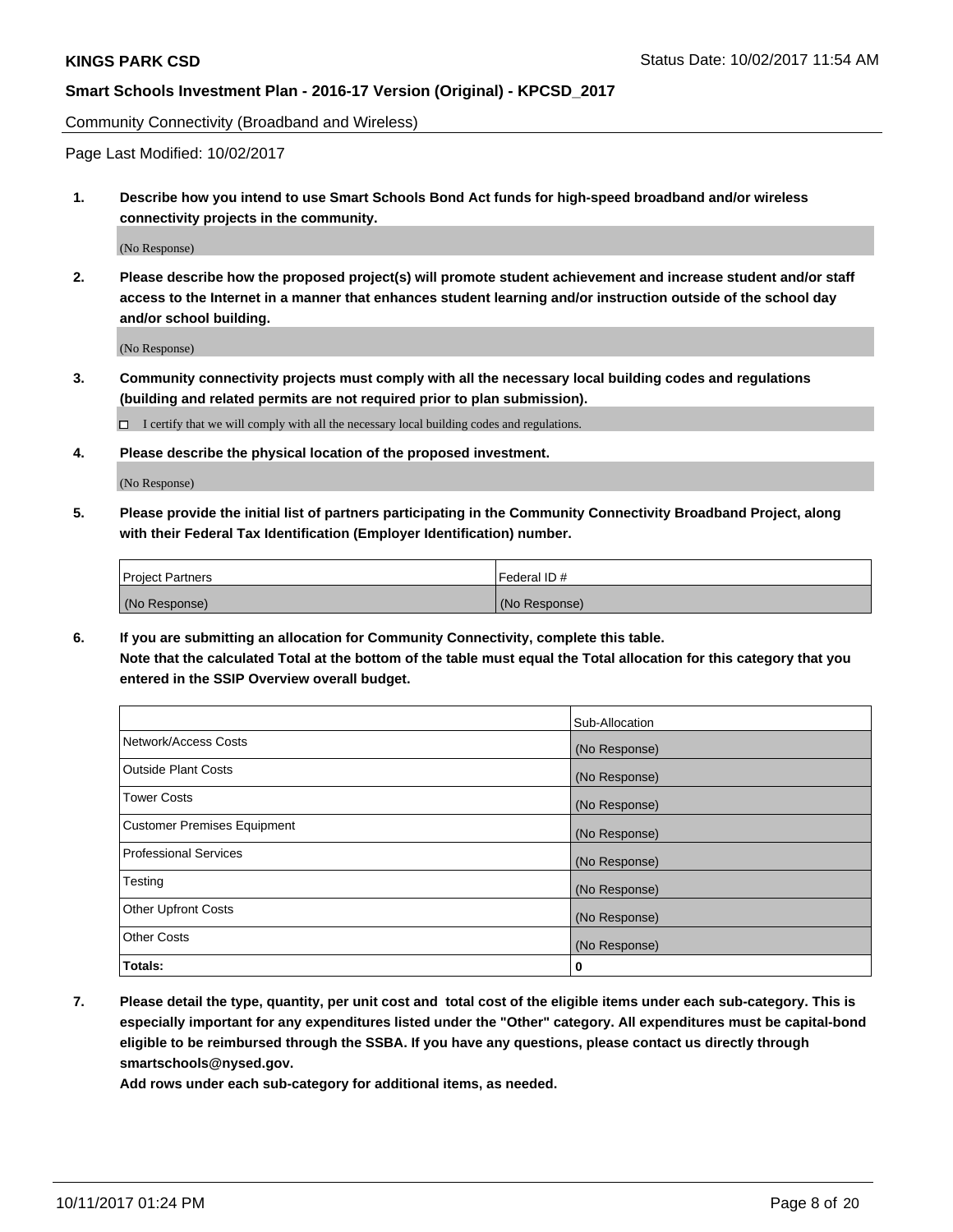Community Connectivity (Broadband and Wireless)

Page Last Modified: 10/02/2017

**1. Describe how you intend to use Smart Schools Bond Act funds for high-speed broadband and/or wireless connectivity projects in the community.**

(No Response)

**2. Please describe how the proposed project(s) will promote student achievement and increase student and/or staff access to the Internet in a manner that enhances student learning and/or instruction outside of the school day and/or school building.**

(No Response)

- **3. Community connectivity projects must comply with all the necessary local building codes and regulations (building and related permits are not required prior to plan submission).**
	- $\Box$  I certify that we will comply with all the necessary local building codes and regulations.
- **4. Please describe the physical location of the proposed investment.**

(No Response)

**5. Please provide the initial list of partners participating in the Community Connectivity Broadband Project, along with their Federal Tax Identification (Employer Identification) number.**

| <b>Project Partners</b> | l Federal ID # |
|-------------------------|----------------|
| (No Response)           | (No Response)  |

**6. If you are submitting an allocation for Community Connectivity, complete this table. Note that the calculated Total at the bottom of the table must equal the Total allocation for this category that you entered in the SSIP Overview overall budget.**

|                                    | Sub-Allocation |
|------------------------------------|----------------|
| Network/Access Costs               | (No Response)  |
| <b>Outside Plant Costs</b>         | (No Response)  |
| <b>Tower Costs</b>                 | (No Response)  |
| <b>Customer Premises Equipment</b> | (No Response)  |
| <b>Professional Services</b>       | (No Response)  |
| Testing                            | (No Response)  |
| <b>Other Upfront Costs</b>         | (No Response)  |
| <b>Other Costs</b>                 | (No Response)  |
| Totals:                            | 0              |

**7. Please detail the type, quantity, per unit cost and total cost of the eligible items under each sub-category. This is especially important for any expenditures listed under the "Other" category. All expenditures must be capital-bond eligible to be reimbursed through the SSBA. If you have any questions, please contact us directly through smartschools@nysed.gov.**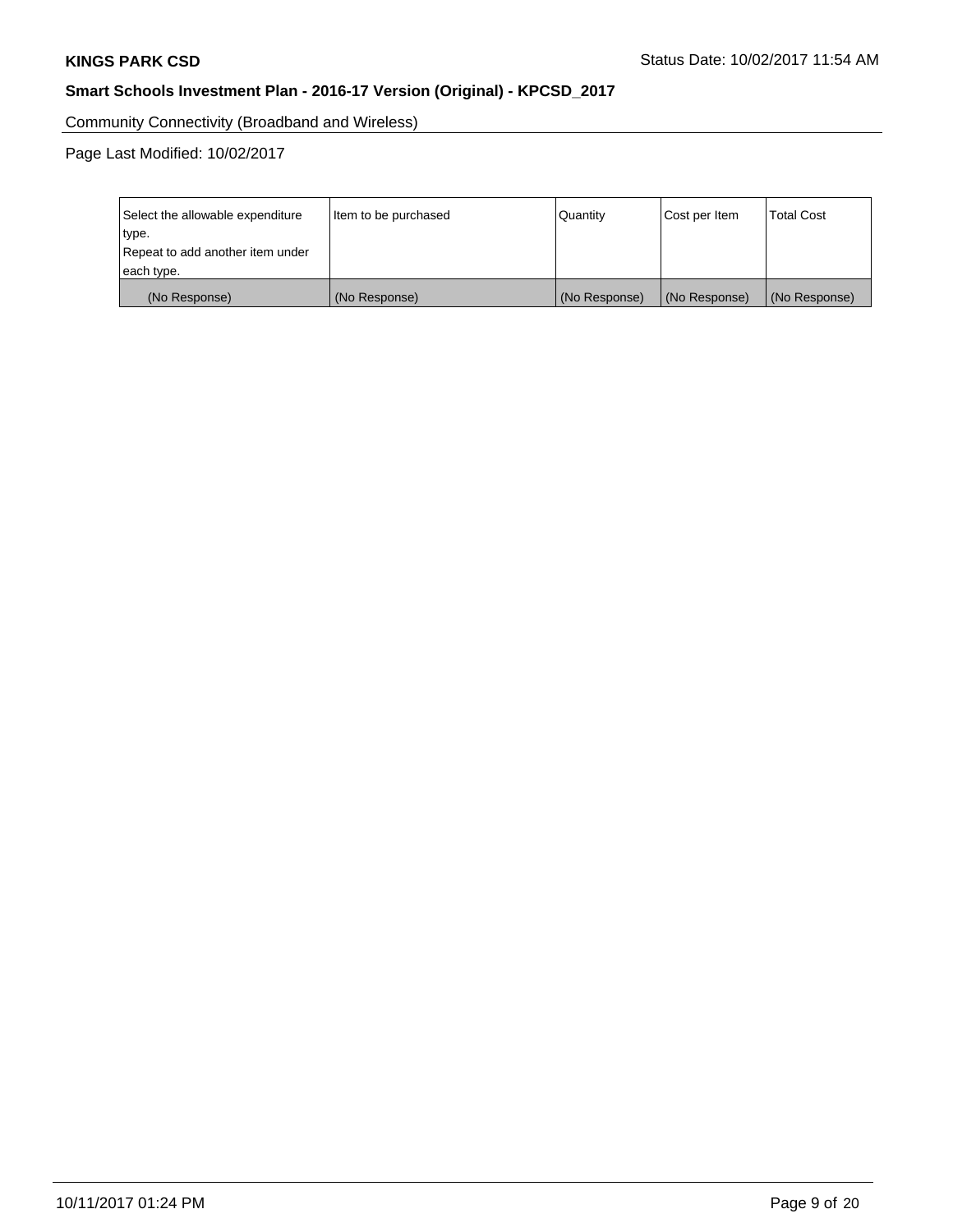Community Connectivity (Broadband and Wireless)

| Select the allowable expenditure<br>type.<br>Repeat to add another item under | Item to be purchased | Quantity      | Cost per Item | <b>Total Cost</b> |
|-------------------------------------------------------------------------------|----------------------|---------------|---------------|-------------------|
| each type.                                                                    |                      |               |               |                   |
| (No Response)                                                                 | (No Response)        | (No Response) | (No Response) | (No Response)     |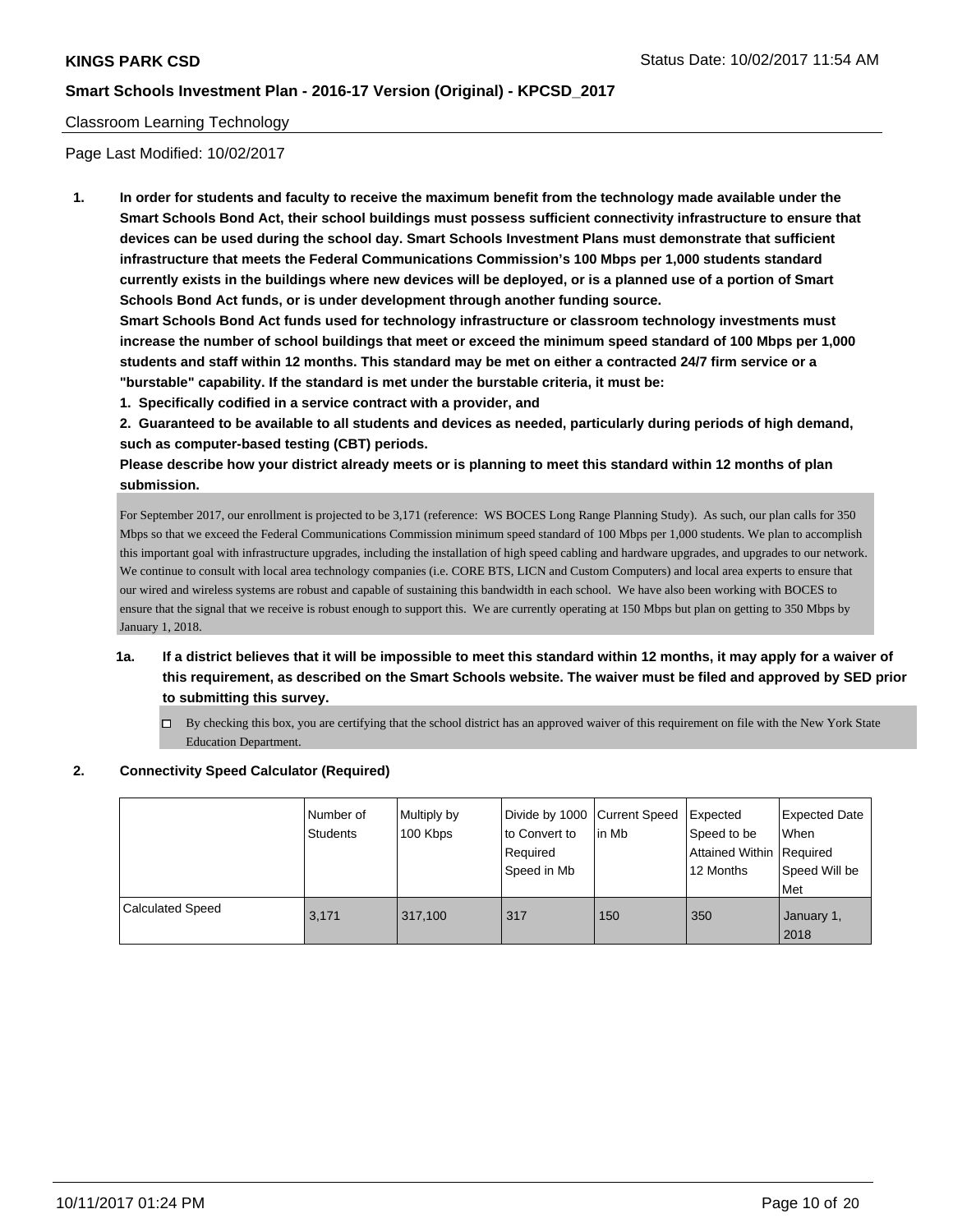#### Classroom Learning Technology

Page Last Modified: 10/02/2017

**1. In order for students and faculty to receive the maximum benefit from the technology made available under the Smart Schools Bond Act, their school buildings must possess sufficient connectivity infrastructure to ensure that devices can be used during the school day. Smart Schools Investment Plans must demonstrate that sufficient infrastructure that meets the Federal Communications Commission's 100 Mbps per 1,000 students standard currently exists in the buildings where new devices will be deployed, or is a planned use of a portion of Smart Schools Bond Act funds, or is under development through another funding source.**

**Smart Schools Bond Act funds used for technology infrastructure or classroom technology investments must increase the number of school buildings that meet or exceed the minimum speed standard of 100 Mbps per 1,000 students and staff within 12 months. This standard may be met on either a contracted 24/7 firm service or a "burstable" capability. If the standard is met under the burstable criteria, it must be:**

**1. Specifically codified in a service contract with a provider, and**

**2. Guaranteed to be available to all students and devices as needed, particularly during periods of high demand, such as computer-based testing (CBT) periods.**

**Please describe how your district already meets or is planning to meet this standard within 12 months of plan submission.**

For September 2017, our enrollment is projected to be 3,171 (reference: WS BOCES Long Range Planning Study). As such, our plan calls for 350 Mbps so that we exceed the Federal Communications Commission minimum speed standard of 100 Mbps per 1,000 students. We plan to accomplish this important goal with infrastructure upgrades, including the installation of high speed cabling and hardware upgrades, and upgrades to our network. We continue to consult with local area technology companies (i.e. CORE BTS, LICN and Custom Computers) and local area experts to ensure that our wired and wireless systems are robust and capable of sustaining this bandwidth in each school. We have also been working with BOCES to ensure that the signal that we receive is robust enough to support this. We are currently operating at 150 Mbps but plan on getting to 350 Mbps by January 1, 2018.

- **1a. If a district believes that it will be impossible to meet this standard within 12 months, it may apply for a waiver of this requirement, as described on the Smart Schools website. The waiver must be filed and approved by SED prior to submitting this survey.**
	- $\Box$  By checking this box, you are certifying that the school district has an approved waiver of this requirement on file with the New York State Education Department.

#### **2. Connectivity Speed Calculator (Required)**

|                         | Number of<br>Students | Multiply by<br>100 Kbps | to Convert to<br>Required<br>Speed in Mb | Divide by 1000 Current Speed Expected<br>lin Mb | Speed to be<br>Attained Within Required<br>12 Months | <b>Expected Date</b><br>When<br>Speed Will be<br><b>Met</b> |
|-------------------------|-----------------------|-------------------------|------------------------------------------|-------------------------------------------------|------------------------------------------------------|-------------------------------------------------------------|
| <b>Calculated Speed</b> | 3.171                 | 317,100                 | 317                                      | 150                                             | 350                                                  | January 1,<br>2018                                          |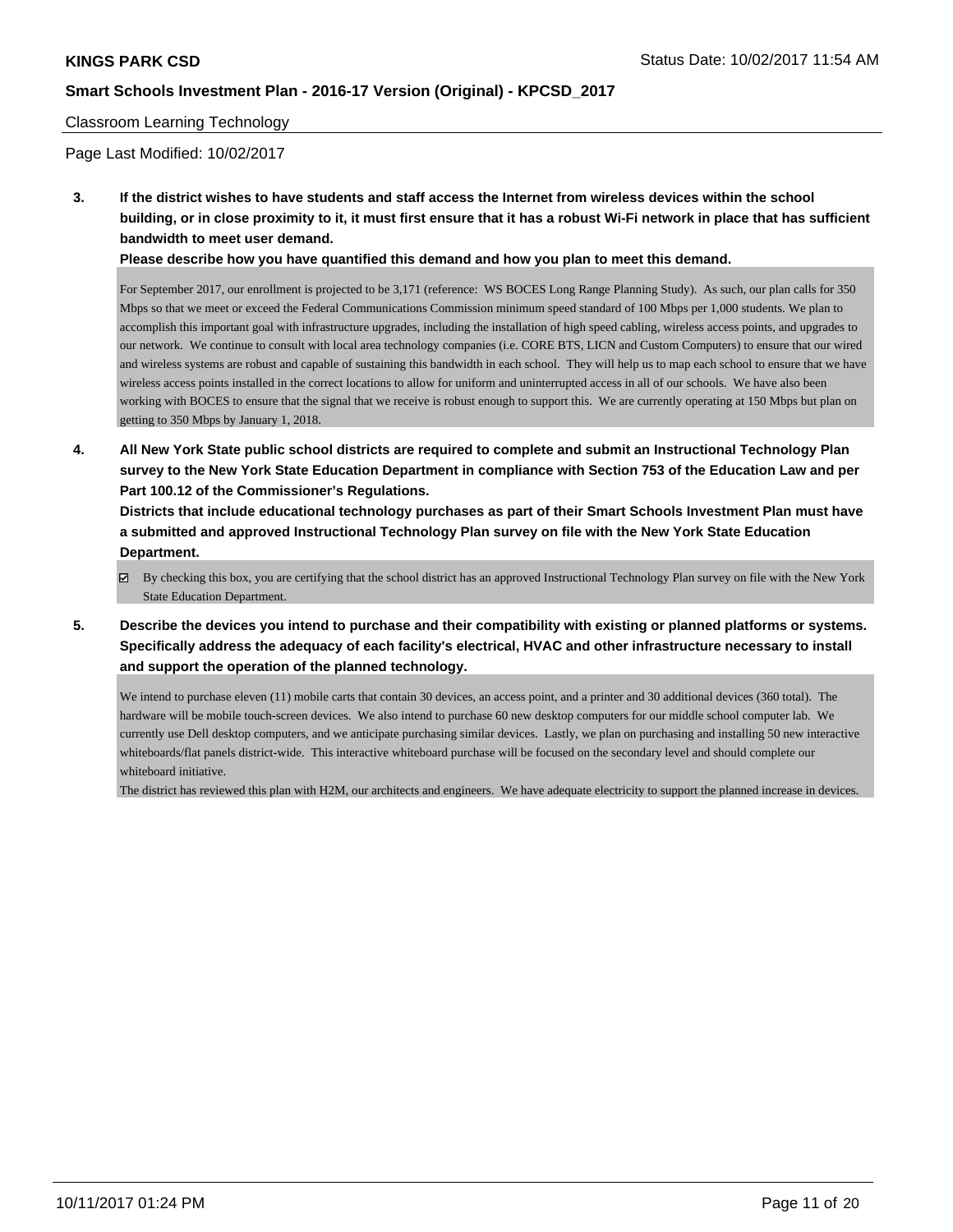#### Classroom Learning Technology

Page Last Modified: 10/02/2017

**3. If the district wishes to have students and staff access the Internet from wireless devices within the school building, or in close proximity to it, it must first ensure that it has a robust Wi-Fi network in place that has sufficient bandwidth to meet user demand.**

**Please describe how you have quantified this demand and how you plan to meet this demand.**

For September 2017, our enrollment is projected to be 3,171 (reference: WS BOCES Long Range Planning Study). As such, our plan calls for 350 Mbps so that we meet or exceed the Federal Communications Commission minimum speed standard of 100 Mbps per 1,000 students. We plan to accomplish this important goal with infrastructure upgrades, including the installation of high speed cabling, wireless access points, and upgrades to our network. We continue to consult with local area technology companies (i.e. CORE BTS, LICN and Custom Computers) to ensure that our wired and wireless systems are robust and capable of sustaining this bandwidth in each school. They will help us to map each school to ensure that we have wireless access points installed in the correct locations to allow for uniform and uninterrupted access in all of our schools. We have also been working with BOCES to ensure that the signal that we receive is robust enough to support this. We are currently operating at 150 Mbps but plan on getting to 350 Mbps by January 1, 2018.

**4. All New York State public school districts are required to complete and submit an Instructional Technology Plan survey to the New York State Education Department in compliance with Section 753 of the Education Law and per Part 100.12 of the Commissioner's Regulations.**

**Districts that include educational technology purchases as part of their Smart Schools Investment Plan must have a submitted and approved Instructional Technology Plan survey on file with the New York State Education Department.**

- By checking this box, you are certifying that the school district has an approved Instructional Technology Plan survey on file with the New York State Education Department.
- **5. Describe the devices you intend to purchase and their compatibility with existing or planned platforms or systems. Specifically address the adequacy of each facility's electrical, HVAC and other infrastructure necessary to install and support the operation of the planned technology.**

We intend to purchase eleven (11) mobile carts that contain 30 devices, an access point, and a printer and 30 additional devices (360 total). The hardware will be mobile touch-screen devices. We also intend to purchase 60 new desktop computers for our middle school computer lab. We currently use Dell desktop computers, and we anticipate purchasing similar devices. Lastly, we plan on purchasing and installing 50 new interactive whiteboards/flat panels district-wide. This interactive whiteboard purchase will be focused on the secondary level and should complete our whiteboard initiative.

The district has reviewed this plan with H2M, our architects and engineers. We have adequate electricity to support the planned increase in devices.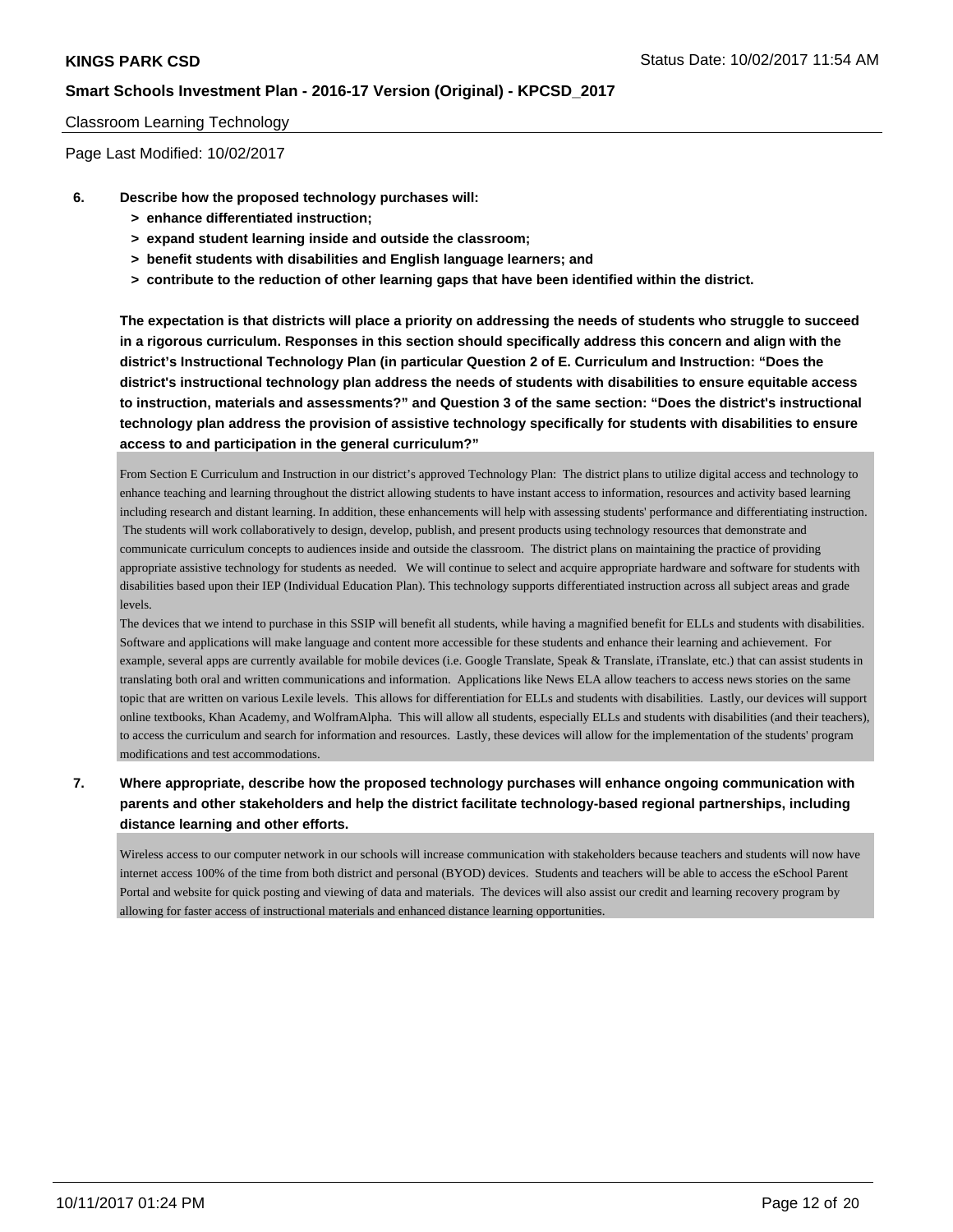#### Classroom Learning Technology

Page Last Modified: 10/02/2017

- **6. Describe how the proposed technology purchases will:**
	- **> enhance differentiated instruction;**
	- **> expand student learning inside and outside the classroom;**
	- **> benefit students with disabilities and English language learners; and**
	- **> contribute to the reduction of other learning gaps that have been identified within the district.**

**The expectation is that districts will place a priority on addressing the needs of students who struggle to succeed in a rigorous curriculum. Responses in this section should specifically address this concern and align with the district's Instructional Technology Plan (in particular Question 2 of E. Curriculum and Instruction: "Does the district's instructional technology plan address the needs of students with disabilities to ensure equitable access to instruction, materials and assessments?" and Question 3 of the same section: "Does the district's instructional technology plan address the provision of assistive technology specifically for students with disabilities to ensure access to and participation in the general curriculum?"**

From Section E Curriculum and Instruction in our district's approved Technology Plan: The district plans to utilize digital access and technology to enhance teaching and learning throughout the district allowing students to have instant access to information, resources and activity based learning including research and distant learning. In addition, these enhancements will help with assessing students' performance and differentiating instruction. The students will work collaboratively to design, develop, publish, and present products using technology resources that demonstrate and communicate curriculum concepts to audiences inside and outside the classroom. The district plans on maintaining the practice of providing appropriate assistive technology for students as needed. We will continue to select and acquire appropriate hardware and software for students with disabilities based upon their IEP (Individual Education Plan). This technology supports differentiated instruction across all subject areas and grade levels.

The devices that we intend to purchase in this SSIP will benefit all students, while having a magnified benefit for ELLs and students with disabilities. Software and applications will make language and content more accessible for these students and enhance their learning and achievement. For example, several apps are currently available for mobile devices (i.e. Google Translate, Speak & Translate, iTranslate, etc.) that can assist students in translating both oral and written communications and information. Applications like News ELA allow teachers to access news stories on the same topic that are written on various Lexile levels. This allows for differentiation for ELLs and students with disabilities. Lastly, our devices will support online textbooks, Khan Academy, and WolframAlpha. This will allow all students, especially ELLs and students with disabilities (and their teachers), to access the curriculum and search for information and resources. Lastly, these devices will allow for the implementation of the students' program modifications and test accommodations.

# **7. Where appropriate, describe how the proposed technology purchases will enhance ongoing communication with parents and other stakeholders and help the district facilitate technology-based regional partnerships, including distance learning and other efforts.**

Wireless access to our computer network in our schools will increase communication with stakeholders because teachers and students will now have internet access 100% of the time from both district and personal (BYOD) devices. Students and teachers will be able to access the eSchool Parent Portal and website for quick posting and viewing of data and materials. The devices will also assist our credit and learning recovery program by allowing for faster access of instructional materials and enhanced distance learning opportunities.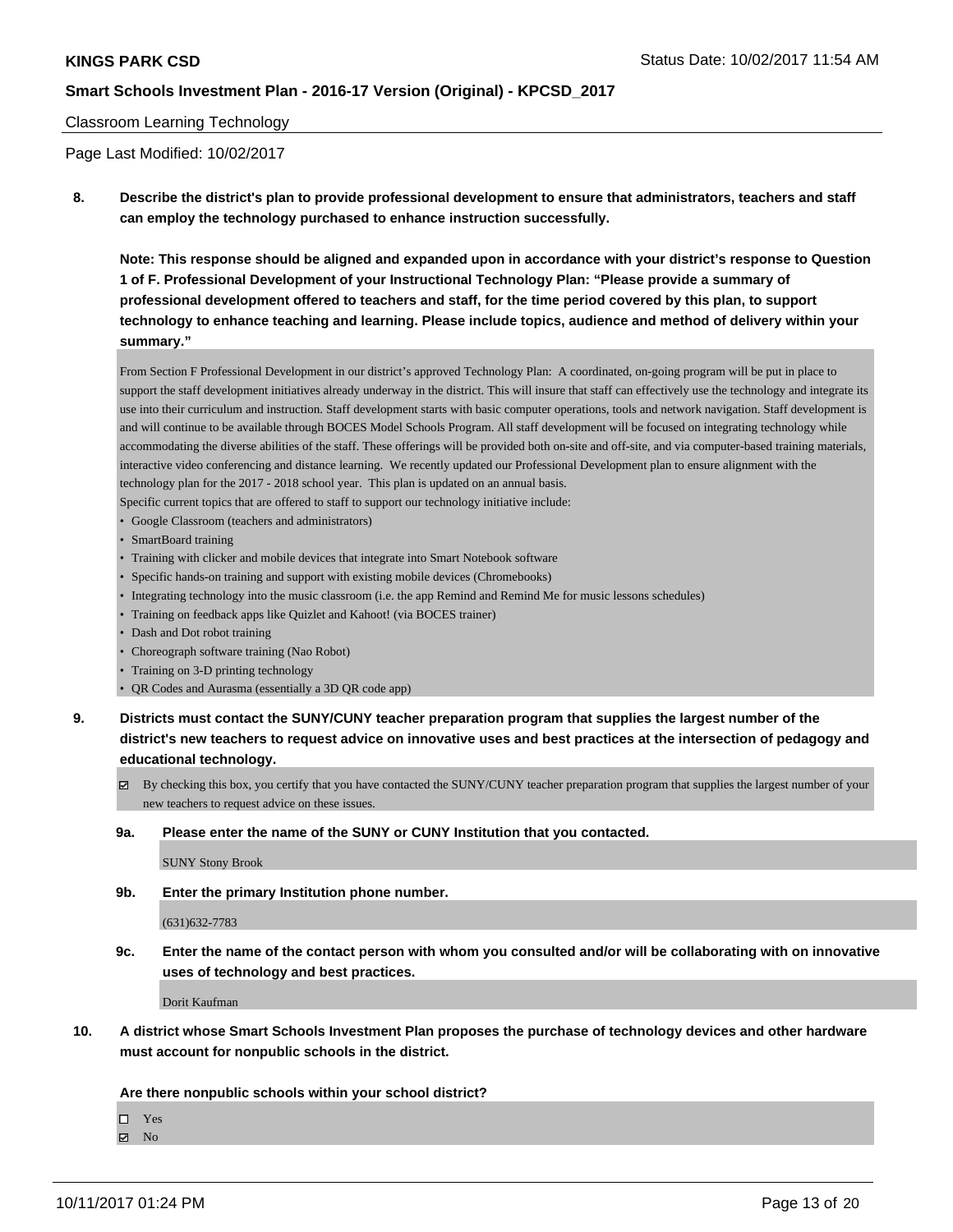#### Classroom Learning Technology

Page Last Modified: 10/02/2017

**8. Describe the district's plan to provide professional development to ensure that administrators, teachers and staff can employ the technology purchased to enhance instruction successfully.**

**Note: This response should be aligned and expanded upon in accordance with your district's response to Question 1 of F. Professional Development of your Instructional Technology Plan: "Please provide a summary of professional development offered to teachers and staff, for the time period covered by this plan, to support technology to enhance teaching and learning. Please include topics, audience and method of delivery within your summary."**

From Section F Professional Development in our district's approved Technology Plan: A coordinated, on-going program will be put in place to support the staff development initiatives already underway in the district. This will insure that staff can effectively use the technology and integrate its use into their curriculum and instruction. Staff development starts with basic computer operations, tools and network navigation. Staff development is and will continue to be available through BOCES Model Schools Program. All staff development will be focused on integrating technology while accommodating the diverse abilities of the staff. These offerings will be provided both on-site and off-site, and via computer-based training materials, interactive video conferencing and distance learning. We recently updated our Professional Development plan to ensure alignment with the technology plan for the 2017 - 2018 school year. This plan is updated on an annual basis.

Specific current topics that are offered to staff to support our technology initiative include:

- Google Classroom (teachers and administrators)
- SmartBoard training
- Training with clicker and mobile devices that integrate into Smart Notebook software
- Specific hands-on training and support with existing mobile devices (Chromebooks)
- Integrating technology into the music classroom (i.e. the app Remind and Remind Me for music lessons schedules)
- Training on feedback apps like Quizlet and Kahoot! (via BOCES trainer)
- Dash and Dot robot training
- Choreograph software training (Nao Robot)
- Training on 3-D printing technology
- QR Codes and Aurasma (essentially a 3D QR code app)
- **9. Districts must contact the SUNY/CUNY teacher preparation program that supplies the largest number of the district's new teachers to request advice on innovative uses and best practices at the intersection of pedagogy and educational technology.**
	- $\boxtimes$  By checking this box, you certify that you have contacted the SUNY/CUNY teacher preparation program that supplies the largest number of your new teachers to request advice on these issues.

#### **9a. Please enter the name of the SUNY or CUNY Institution that you contacted.**

SUNY Stony Brook

**9b. Enter the primary Institution phone number.**

(631)632-7783

**9c. Enter the name of the contact person with whom you consulted and/or will be collaborating with on innovative uses of technology and best practices.**

Dorit Kaufman

**10. A district whose Smart Schools Investment Plan proposes the purchase of technology devices and other hardware must account for nonpublic schools in the district.**

#### **Are there nonpublic schools within your school district?**

Yes

 $\boxtimes$  No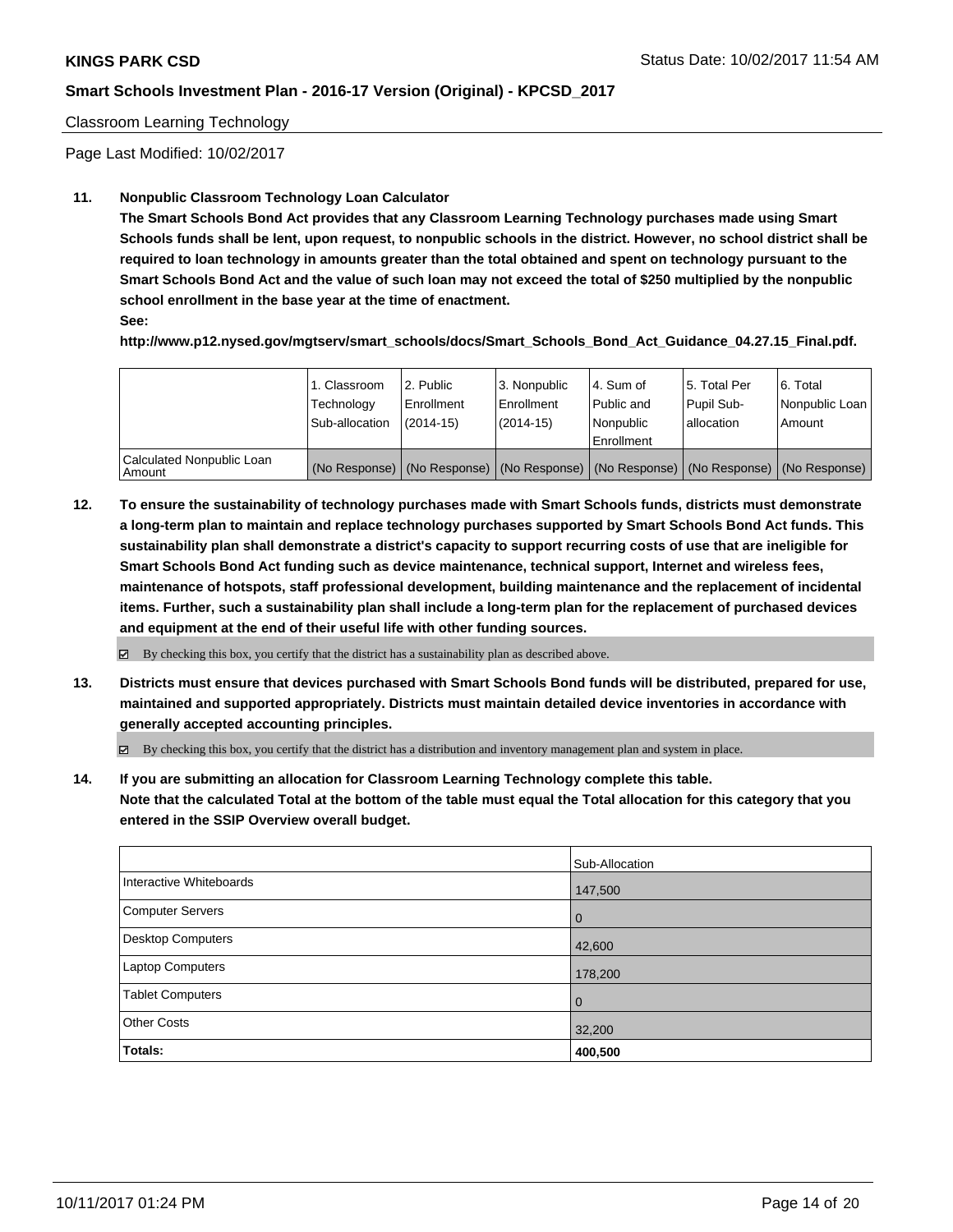#### Classroom Learning Technology

Page Last Modified: 10/02/2017

### **11. Nonpublic Classroom Technology Loan Calculator**

**The Smart Schools Bond Act provides that any Classroom Learning Technology purchases made using Smart Schools funds shall be lent, upon request, to nonpublic schools in the district. However, no school district shall be required to loan technology in amounts greater than the total obtained and spent on technology pursuant to the Smart Schools Bond Act and the value of such loan may not exceed the total of \$250 multiplied by the nonpublic school enrollment in the base year at the time of enactment.**

**See:**

**http://www.p12.nysed.gov/mgtserv/smart\_schools/docs/Smart\_Schools\_Bond\_Act\_Guidance\_04.27.15\_Final.pdf.**

|                                       | 1. Classroom<br>Technology<br>Sub-allocation | 2. Public<br>l Enrollment<br>$(2014-15)$ | 3. Nonpublic<br>Enrollment<br>$(2014-15)$ | l 4. Sum of<br>l Public and<br>l Nonpublic<br>l Enrollment | 15. Total Per<br>Pupil Sub-<br>lallocation | 6. Total<br>Nonpublic Loan  <br>Amount                                                        |
|---------------------------------------|----------------------------------------------|------------------------------------------|-------------------------------------------|------------------------------------------------------------|--------------------------------------------|-----------------------------------------------------------------------------------------------|
| Calculated Nonpublic Loan<br>l Amount |                                              |                                          |                                           |                                                            |                                            | (No Response)   (No Response)   (No Response)   (No Response)   (No Response)   (No Response) |

**12. To ensure the sustainability of technology purchases made with Smart Schools funds, districts must demonstrate a long-term plan to maintain and replace technology purchases supported by Smart Schools Bond Act funds. This sustainability plan shall demonstrate a district's capacity to support recurring costs of use that are ineligible for Smart Schools Bond Act funding such as device maintenance, technical support, Internet and wireless fees, maintenance of hotspots, staff professional development, building maintenance and the replacement of incidental items. Further, such a sustainability plan shall include a long-term plan for the replacement of purchased devices and equipment at the end of their useful life with other funding sources.**

 $\boxtimes$  By checking this box, you certify that the district has a sustainability plan as described above.

**13. Districts must ensure that devices purchased with Smart Schools Bond funds will be distributed, prepared for use, maintained and supported appropriately. Districts must maintain detailed device inventories in accordance with generally accepted accounting principles.**

By checking this box, you certify that the district has a distribution and inventory management plan and system in place.

**14. If you are submitting an allocation for Classroom Learning Technology complete this table. Note that the calculated Total at the bottom of the table must equal the Total allocation for this category that you entered in the SSIP Overview overall budget.**

|                          | Sub-Allocation |
|--------------------------|----------------|
| Interactive Whiteboards  | 147,500        |
| Computer Servers         | $\overline{0}$ |
| <b>Desktop Computers</b> | 42,600         |
| Laptop Computers         | 178,200        |
| <b>Tablet Computers</b>  | $\overline{0}$ |
| <b>Other Costs</b>       | 32,200         |
| Totals:                  | 400,500        |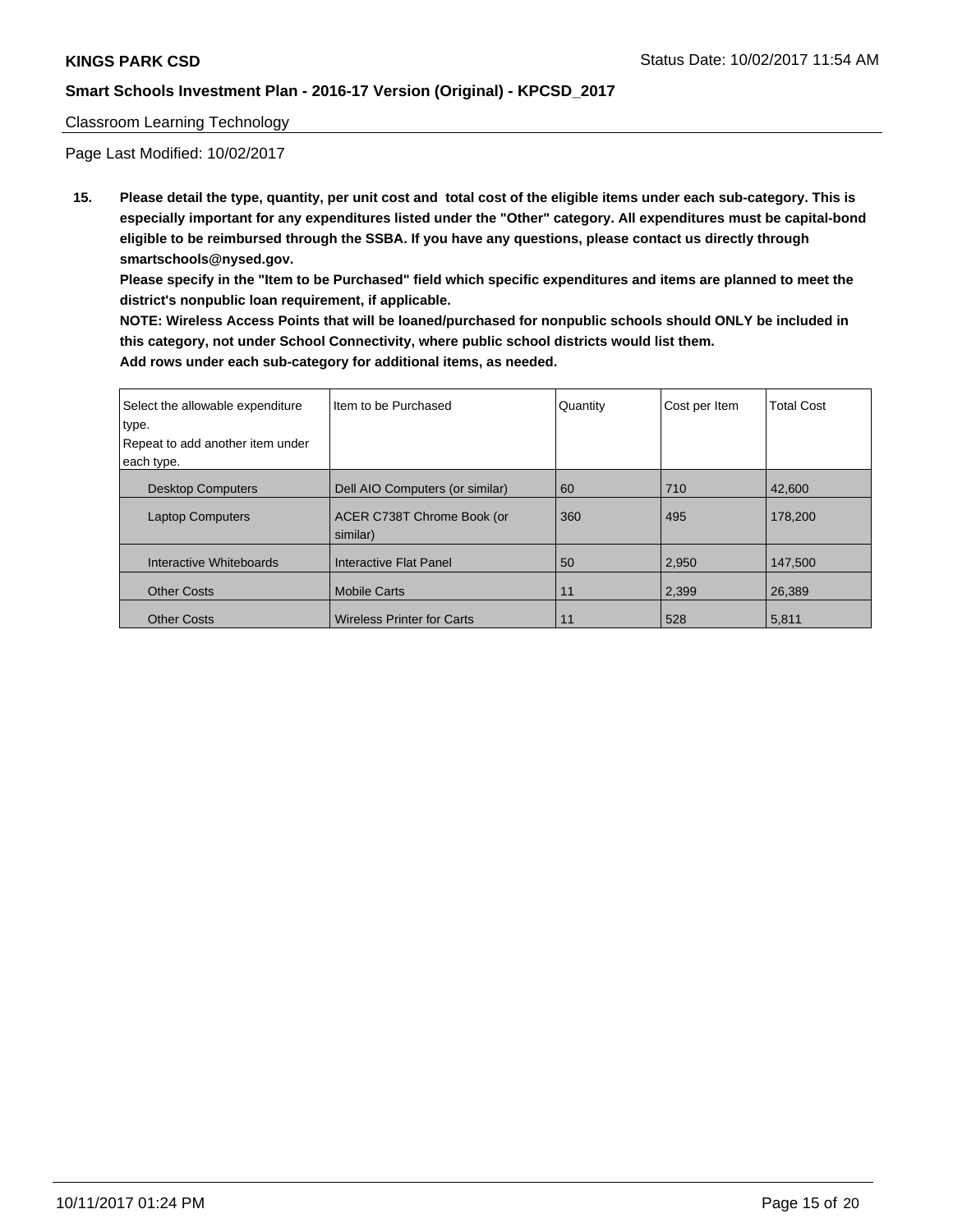#### Classroom Learning Technology

Page Last Modified: 10/02/2017

**15. Please detail the type, quantity, per unit cost and total cost of the eligible items under each sub-category. This is especially important for any expenditures listed under the "Other" category. All expenditures must be capital-bond eligible to be reimbursed through the SSBA. If you have any questions, please contact us directly through smartschools@nysed.gov.**

**Please specify in the "Item to be Purchased" field which specific expenditures and items are planned to meet the district's nonpublic loan requirement, if applicable.**

**NOTE: Wireless Access Points that will be loaned/purchased for nonpublic schools should ONLY be included in this category, not under School Connectivity, where public school districts would list them. Add rows under each sub-category for additional items, as needed.**

| Select the allowable expenditure | Item to be Purchased                   | Quantity | Cost per Item | <b>Total Cost</b> |
|----------------------------------|----------------------------------------|----------|---------------|-------------------|
| type.                            |                                        |          |               |                   |
| Repeat to add another item under |                                        |          |               |                   |
| each type.                       |                                        |          |               |                   |
| <b>Desktop Computers</b>         | Dell AIO Computers (or similar)        | 60       | 710           | 42,600            |
| <b>Laptop Computers</b>          | ACER C738T Chrome Book (or<br>similar) | 360      | 495           | 178,200           |
| Interactive Whiteboards          | Interactive Flat Panel                 | 50       | 2,950         | 147,500           |
| <b>Other Costs</b>               | <b>Mobile Carts</b>                    | 11       | 2,399         | 26.389            |
| <b>Other Costs</b>               | <b>Wireless Printer for Carts</b>      | 11       | 528           | 5.811             |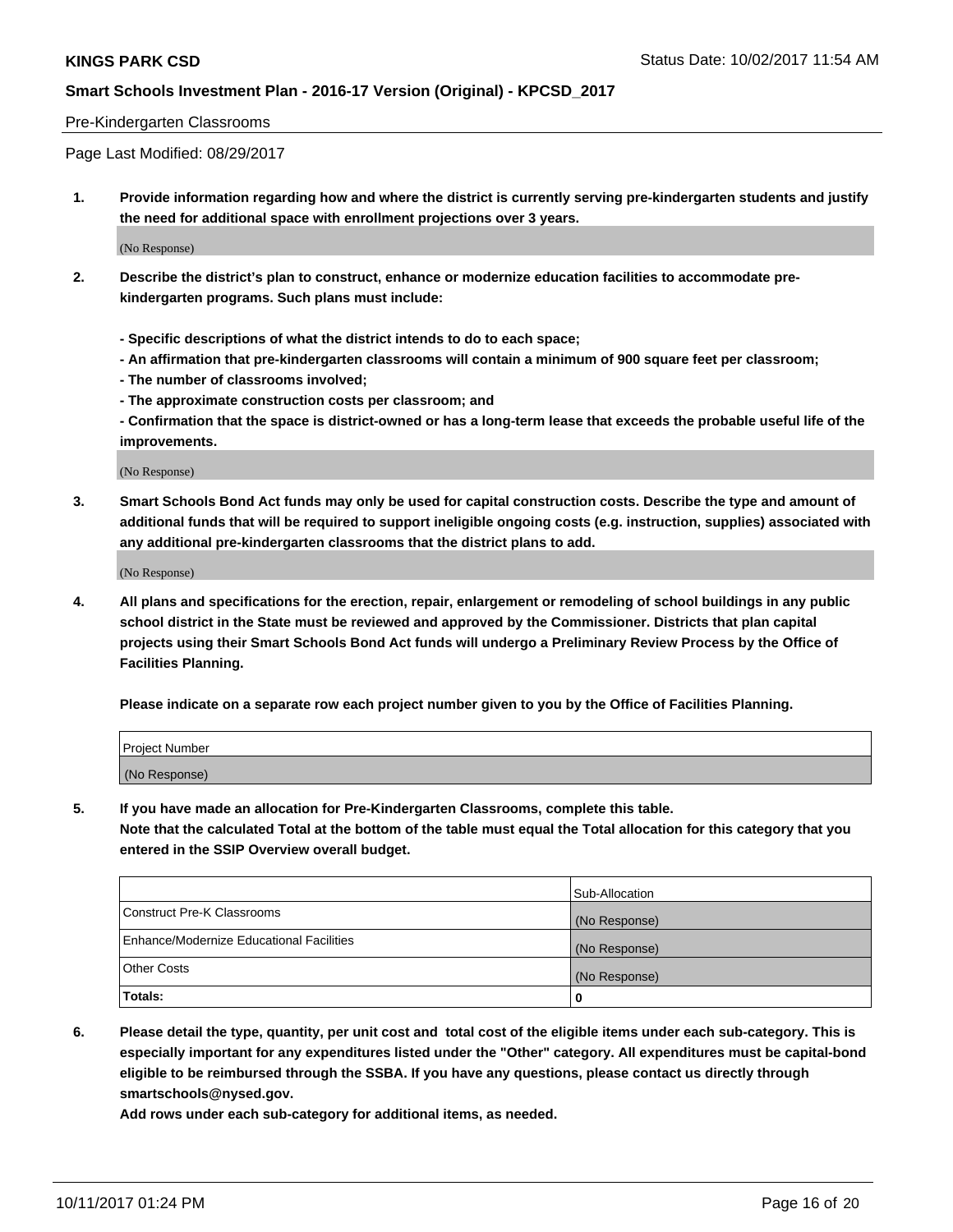#### Pre-Kindergarten Classrooms

Page Last Modified: 08/29/2017

**1. Provide information regarding how and where the district is currently serving pre-kindergarten students and justify the need for additional space with enrollment projections over 3 years.**

(No Response)

- **2. Describe the district's plan to construct, enhance or modernize education facilities to accommodate prekindergarten programs. Such plans must include:**
	- **Specific descriptions of what the district intends to do to each space;**
	- **An affirmation that pre-kindergarten classrooms will contain a minimum of 900 square feet per classroom;**
	- **The number of classrooms involved;**
	- **The approximate construction costs per classroom; and**
	- **Confirmation that the space is district-owned or has a long-term lease that exceeds the probable useful life of the improvements.**

(No Response)

**3. Smart Schools Bond Act funds may only be used for capital construction costs. Describe the type and amount of additional funds that will be required to support ineligible ongoing costs (e.g. instruction, supplies) associated with any additional pre-kindergarten classrooms that the district plans to add.**

(No Response)

**4. All plans and specifications for the erection, repair, enlargement or remodeling of school buildings in any public school district in the State must be reviewed and approved by the Commissioner. Districts that plan capital projects using their Smart Schools Bond Act funds will undergo a Preliminary Review Process by the Office of Facilities Planning.**

**Please indicate on a separate row each project number given to you by the Office of Facilities Planning.**

| Project Number |  |
|----------------|--|
| (No Response)  |  |

**5. If you have made an allocation for Pre-Kindergarten Classrooms, complete this table.**

**Note that the calculated Total at the bottom of the table must equal the Total allocation for this category that you entered in the SSIP Overview overall budget.**

|                                          | Sub-Allocation |
|------------------------------------------|----------------|
| Construct Pre-K Classrooms               | (No Response)  |
| Enhance/Modernize Educational Facilities | (No Response)  |
| <b>Other Costs</b>                       | (No Response)  |
| <b>Totals:</b>                           | 0              |

**6. Please detail the type, quantity, per unit cost and total cost of the eligible items under each sub-category. This is especially important for any expenditures listed under the "Other" category. All expenditures must be capital-bond eligible to be reimbursed through the SSBA. If you have any questions, please contact us directly through smartschools@nysed.gov.**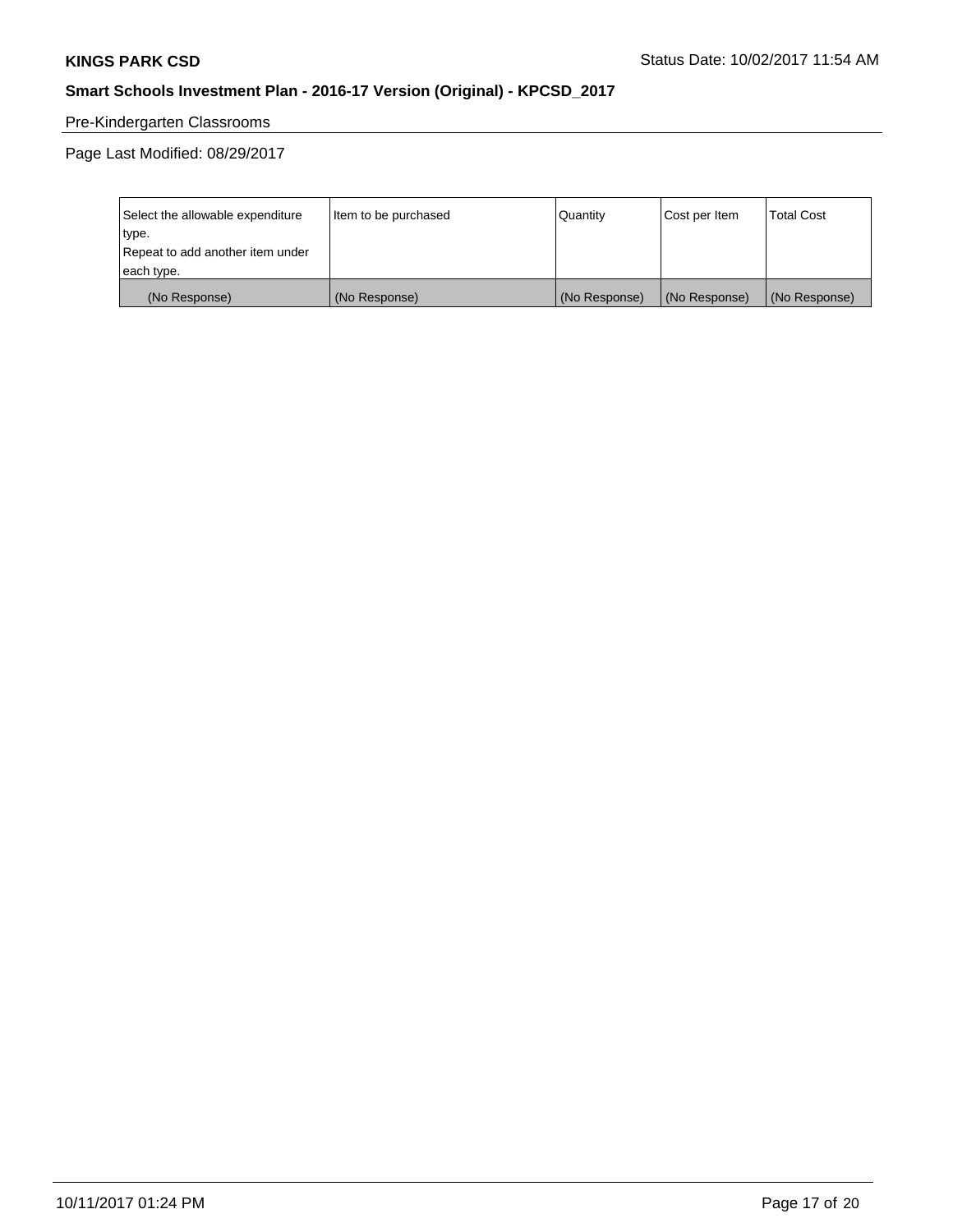# Pre-Kindergarten Classrooms

| Select the allowable expenditure | Item to be purchased | Quantity      | Cost per Item | <b>Total Cost</b> |
|----------------------------------|----------------------|---------------|---------------|-------------------|
| type.                            |                      |               |               |                   |
| Repeat to add another item under |                      |               |               |                   |
| each type.                       |                      |               |               |                   |
| (No Response)                    | (No Response)        | (No Response) | (No Response) | (No Response)     |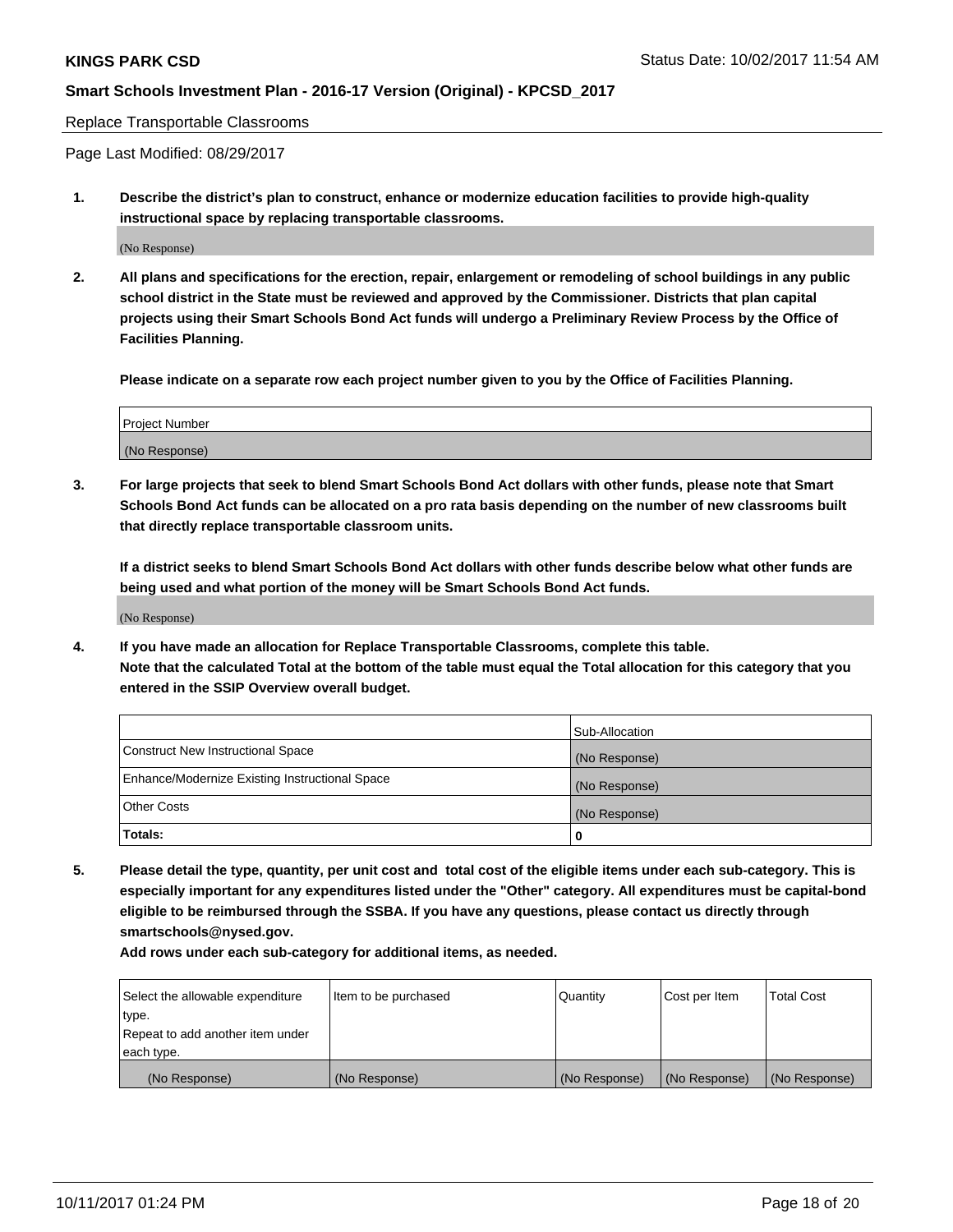Replace Transportable Classrooms

Page Last Modified: 08/29/2017

**1. Describe the district's plan to construct, enhance or modernize education facilities to provide high-quality instructional space by replacing transportable classrooms.**

(No Response)

**2. All plans and specifications for the erection, repair, enlargement or remodeling of school buildings in any public school district in the State must be reviewed and approved by the Commissioner. Districts that plan capital projects using their Smart Schools Bond Act funds will undergo a Preliminary Review Process by the Office of Facilities Planning.**

**Please indicate on a separate row each project number given to you by the Office of Facilities Planning.**

| <b>Project Number</b> |  |
|-----------------------|--|
| (No Response)         |  |

**3. For large projects that seek to blend Smart Schools Bond Act dollars with other funds, please note that Smart Schools Bond Act funds can be allocated on a pro rata basis depending on the number of new classrooms built that directly replace transportable classroom units.**

**If a district seeks to blend Smart Schools Bond Act dollars with other funds describe below what other funds are being used and what portion of the money will be Smart Schools Bond Act funds.**

(No Response)

**4. If you have made an allocation for Replace Transportable Classrooms, complete this table. Note that the calculated Total at the bottom of the table must equal the Total allocation for this category that you entered in the SSIP Overview overall budget.**

|                                                | Sub-Allocation |
|------------------------------------------------|----------------|
| Construct New Instructional Space              | (No Response)  |
| Enhance/Modernize Existing Instructional Space | (No Response)  |
| <b>Other Costs</b>                             | (No Response)  |
| Totals:                                        | 0              |

**5. Please detail the type, quantity, per unit cost and total cost of the eligible items under each sub-category. This is especially important for any expenditures listed under the "Other" category. All expenditures must be capital-bond eligible to be reimbursed through the SSBA. If you have any questions, please contact us directly through smartschools@nysed.gov.**

| Select the allowable expenditure<br>type.      | lltem to be purchased | Quantity      | Cost per Item | <b>Total Cost</b> |
|------------------------------------------------|-----------------------|---------------|---------------|-------------------|
| Repeat to add another item under<br>each type. |                       |               |               |                   |
| (No Response)                                  | (No Response)         | (No Response) | (No Response) | (No Response)     |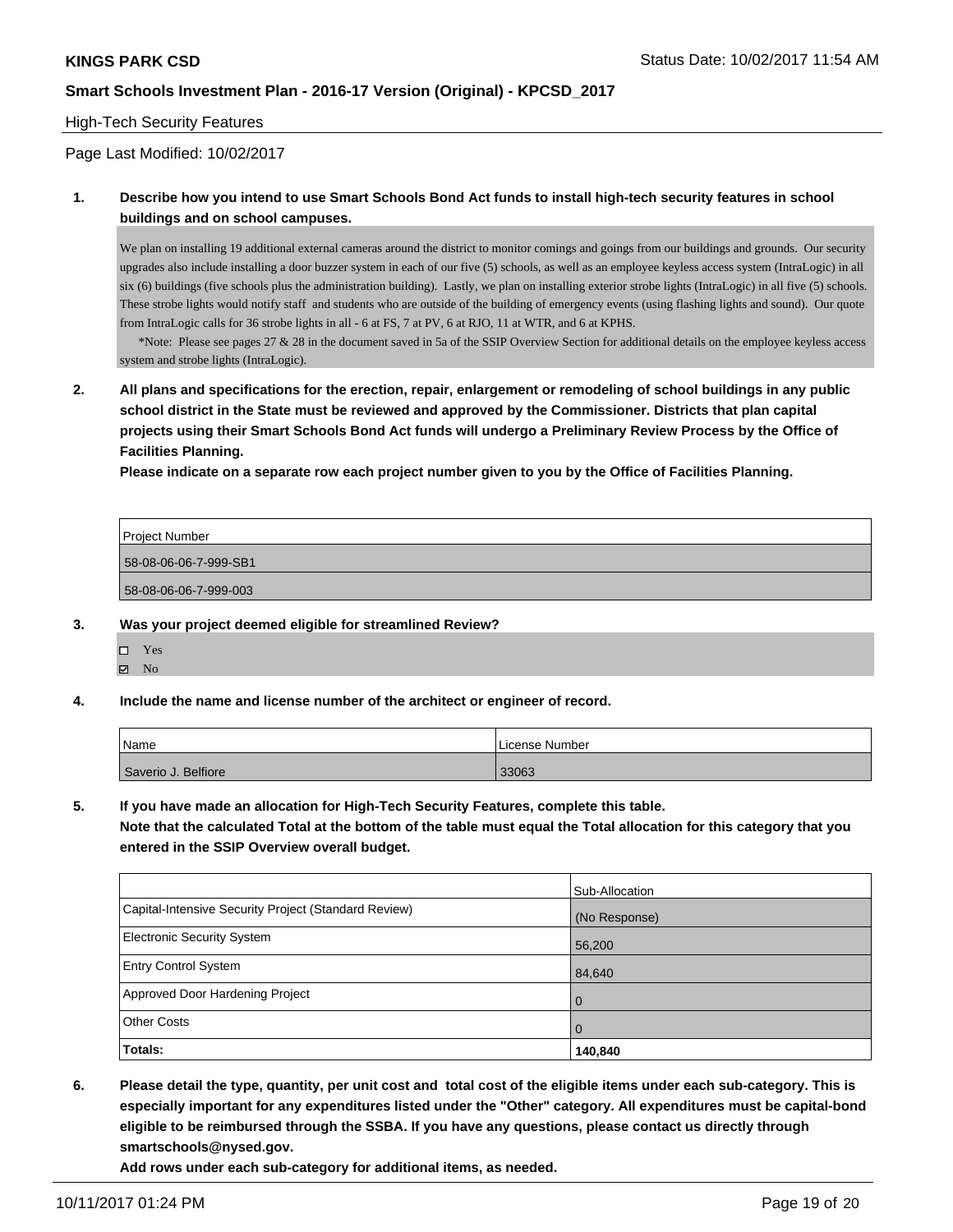#### High-Tech Security Features

Page Last Modified: 10/02/2017

### **1. Describe how you intend to use Smart Schools Bond Act funds to install high-tech security features in school buildings and on school campuses.**

We plan on installing 19 additional external cameras around the district to monitor comings and goings from our buildings and grounds. Our security upgrades also include installing a door buzzer system in each of our five (5) schools, as well as an employee keyless access system (IntraLogic) in all six (6) buildings (five schools plus the administration building). Lastly, we plan on installing exterior strobe lights (IntraLogic) in all five (5) schools. These strobe lights would notify staff and students who are outside of the building of emergency events (using flashing lights and sound). Our quote from IntraLogic calls for 36 strobe lights in all - 6 at FS, 7 at PV, 6 at RJO, 11 at WTR, and 6 at KPHS.

 \*Note: Please see pages 27 & 28 in the document saved in 5a of the SSIP Overview Section for additional details on the employee keyless access system and strobe lights (IntraLogic).

**2. All plans and specifications for the erection, repair, enlargement or remodeling of school buildings in any public school district in the State must be reviewed and approved by the Commissioner. Districts that plan capital projects using their Smart Schools Bond Act funds will undergo a Preliminary Review Process by the Office of Facilities Planning.** 

**Please indicate on a separate row each project number given to you by the Office of Facilities Planning.**

| Project Number        |  |
|-----------------------|--|
| 58-08-06-06-7-999-SB1 |  |
| 58-08-06-06-7-999-003 |  |
|                       |  |

**3. Was your project deemed eligible for streamlined Review?**

| ۰ |
|---|
|   |

**4. Include the name and license number of the architect or engineer of record.**

| Name                | License Number ، |
|---------------------|------------------|
| Saverio J. Belfiore | 33063            |

**5. If you have made an allocation for High-Tech Security Features, complete this table.**

**Note that the calculated Total at the bottom of the table must equal the Total allocation for this category that you entered in the SSIP Overview overall budget.**

|                                                      | Sub-Allocation |
|------------------------------------------------------|----------------|
| Capital-Intensive Security Project (Standard Review) | (No Response)  |
| <b>Electronic Security System</b>                    | 56,200         |
| <b>Entry Control System</b>                          | 84,640         |
| Approved Door Hardening Project                      | $\overline{0}$ |
| <b>Other Costs</b>                                   | $\Omega$       |
| Totals:                                              | 140,840        |

**6. Please detail the type, quantity, per unit cost and total cost of the eligible items under each sub-category. This is especially important for any expenditures listed under the "Other" category. All expenditures must be capital-bond eligible to be reimbursed through the SSBA. If you have any questions, please contact us directly through smartschools@nysed.gov.**